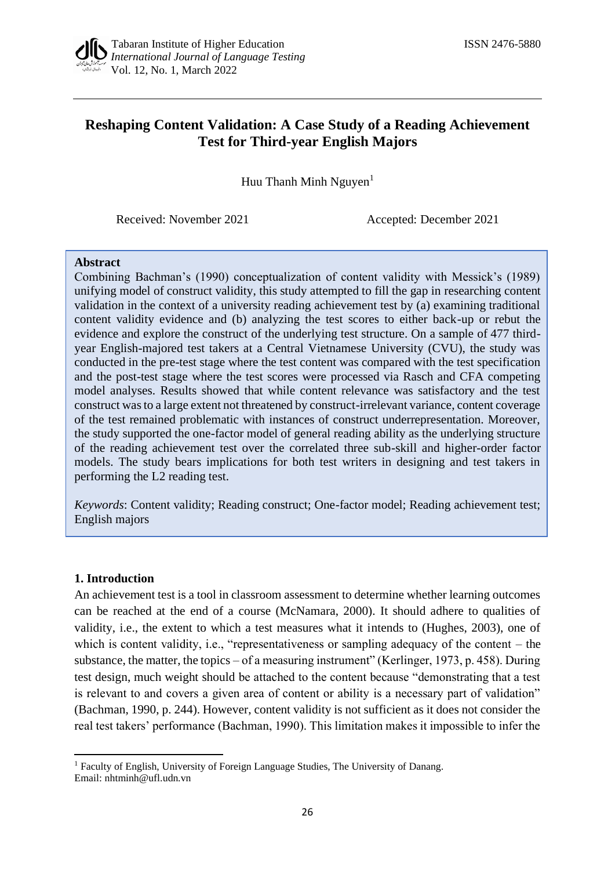# **Reshaping Content Validation: A Case Study of a Reading Achievement Test for Third-year English Majors**

Huu Thanh Minh Nguyen $<sup>1</sup>$ </sup>

Received: November 2021 Accepted: December 2021

#### **Abstract**

Combining Bachman's (1990) conceptualization of content validity with Messick's (1989) unifying model of construct validity, this study attempted to fill the gap in researching content validation in the context of a university reading achievement test by (a) examining traditional content validity evidence and (b) analyzing the test scores to either back-up or rebut the evidence and explore the construct of the underlying test structure. On a sample of 477 thirdyear English-majored test takers at a Central Vietnamese University (CVU), the study was conducted in the pre-test stage where the test content was compared with the test specification and the post-test stage where the test scores were processed via Rasch and CFA competing model analyses. Results showed that while content relevance was satisfactory and the test construct was to a large extent not threatened by construct-irrelevant variance, content coverage of the test remained problematic with instances of construct underrepresentation. Moreover, the study supported the one-factor model of general reading ability as the underlying structure of the reading achievement test over the correlated three sub-skill and higher-order factor models. The study bears implications for both test writers in designing and test takers in performing the L2 reading test.

*Keywords*: Content validity; Reading construct; One-factor model; Reading achievement test; English majors

# **1. Introduction**

An achievement test is a tool in classroom assessment to determine whether learning outcomes can be reached at the end of a course (McNamara, 2000). It should adhere to qualities of validity, i.e., the extent to which a test measures what it intends to (Hughes, 2003), one of which is content validity, i.e., "representativeness or sampling adequacy of the content – the substance, the matter, the topics – of a measuring instrument" (Kerlinger, 1973, p. 458). During test design, much weight should be attached to the content because "demonstrating that a test is relevant to and covers a given area of content or ability is a necessary part of validation" (Bachman, 1990, p. 244). However, content validity is not sufficient as it does not consider the real test takers' performance (Bachman, 1990). This limitation makes it impossible to infer the

<sup>&</sup>lt;sup>1</sup> Faculty of English, University of Foreign Language Studies, The University of Danang. Email: [nhtminh@ufl.udn.vn](mailto:nhtminh@ufl.udn.vn)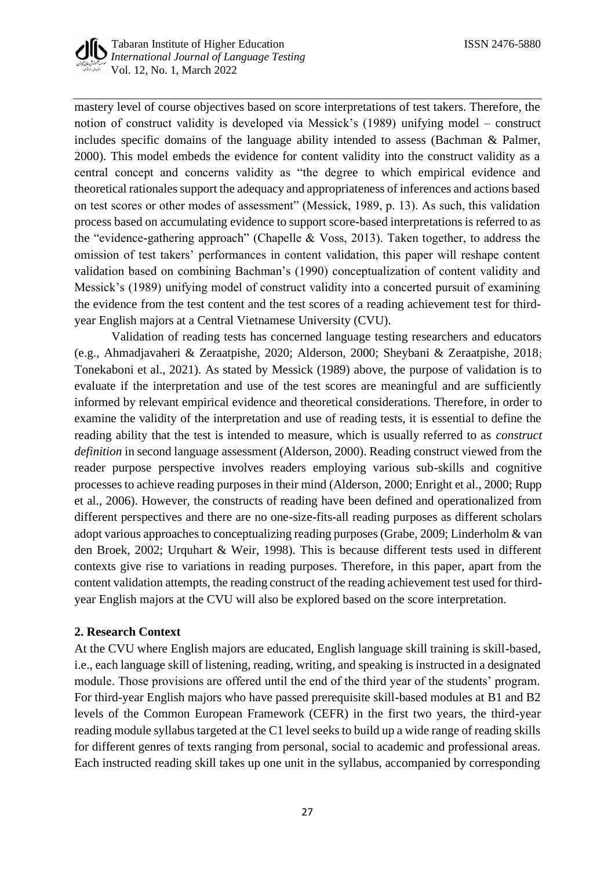

mastery level of course objectives based on score interpretations of test takers. Therefore, the notion of construct validity is developed via Messick's (1989) unifying model – construct includes specific domains of the language ability intended to assess (Bachman & Palmer, 2000). This model embeds the evidence for content validity into the construct validity as a central concept and concerns validity as "the degree to which empirical evidence and theoretical rationales support the adequacy and appropriateness of inferences and actions based on test scores or other modes of assessment" (Messick, 1989, p. 13). As such, this validation process based on accumulating evidence to support score-based interpretations is referred to as the "evidence-gathering approach" (Chapelle & Voss, 2013). Taken together, to address the omission of test takers' performances in content validation, this paper will reshape content validation based on combining Bachman's (1990) conceptualization of content validity and Messick's (1989) unifying model of construct validity into a concerted pursuit of examining the evidence from the test content and the test scores of a reading achievement test for thirdyear English majors at a Central Vietnamese University (CVU).

Validation of reading tests has concerned language testing researchers and educators (e.g., Ahmadjavaheri & Zeraatpishe, 2020; Alderson, 2000; Sheybani & Zeraatpishe, 2018; Tonekaboni et al., 2021). As stated by Messick (1989) above, the purpose of validation is to evaluate if the interpretation and use of the test scores are meaningful and are sufficiently informed by relevant empirical evidence and theoretical considerations. Therefore, in order to examine the validity of the interpretation and use of reading tests, it is essential to define the reading ability that the test is intended to measure, which is usually referred to as *construct definition* in second language assessment (Alderson, 2000). Reading construct viewed from the reader purpose perspective involves readers employing various sub-skills and cognitive processes to achieve reading purposes in their mind (Alderson, 2000; Enright et al., 2000; Rupp et al., 2006). However, the constructs of reading have been defined and operationalized from different perspectives and there are no one-size-fits-all reading purposes as different scholars adopt various approaches to conceptualizing reading purposes (Grabe, 2009; Linderholm & van den Broek, 2002; Urquhart & Weir, 1998). This is because different tests used in different contexts give rise to variations in reading purposes. Therefore, in this paper, apart from the content validation attempts, the reading construct of the reading achievement test used for thirdyear English majors at the CVU will also be explored based on the score interpretation.

# **2. Research Context**

At the CVU where English majors are educated, English language skill training is skill-based, i.e., each language skill of listening, reading, writing, and speaking is instructed in a designated module. Those provisions are offered until the end of the third year of the students' program. For third-year English majors who have passed prerequisite skill-based modules at B1 and B2 levels of the Common European Framework (CEFR) in the first two years, the third-year reading module syllabus targeted at the C1 level seeks to build up a wide range of reading skills for different genres of texts ranging from personal, social to academic and professional areas. Each instructed reading skill takes up one unit in the syllabus, accompanied by corresponding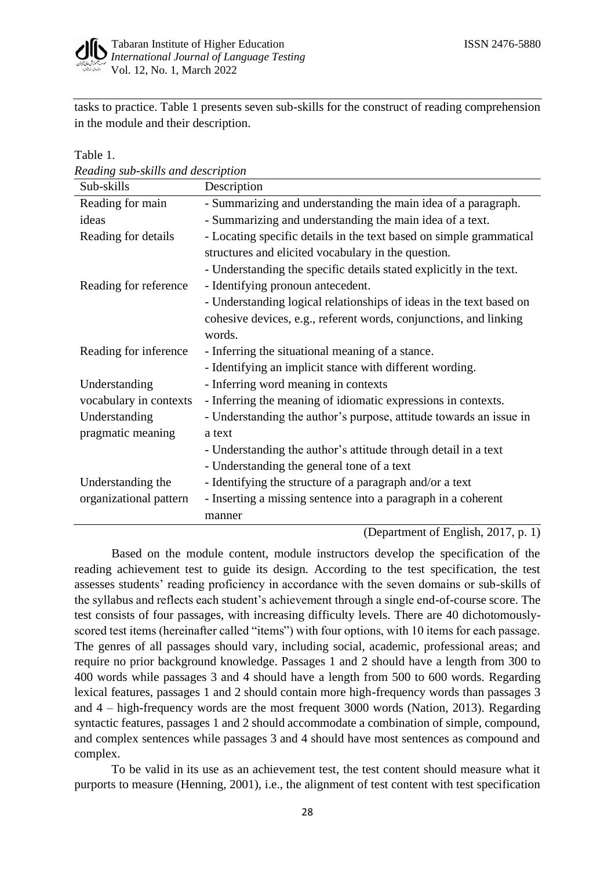

tasks to practice. Table 1 presents seven sub-skills for the construct of reading comprehension in the module and their description.

*Reading sub-skills and description*

Table 1.

| Sub-skills             | Description                                                         |
|------------------------|---------------------------------------------------------------------|
| Reading for main       | - Summarizing and understanding the main idea of a paragraph.       |
| ideas                  | - Summarizing and understanding the main idea of a text.            |
| Reading for details    | - Locating specific details in the text based on simple grammatical |
|                        | structures and elicited vocabulary in the question.                 |
|                        | - Understanding the specific details stated explicitly in the text. |
| Reading for reference  | - Identifying pronoun antecedent.                                   |
|                        | - Understanding logical relationships of ideas in the text based on |
|                        | cohesive devices, e.g., referent words, conjunctions, and linking   |
|                        | words.                                                              |
| Reading for inference  | - Inferring the situational meaning of a stance.                    |
|                        | - Identifying an implicit stance with different wording.            |
| Understanding          | - Inferring word meaning in contexts                                |
| vocabulary in contexts | - Inferring the meaning of idiomatic expressions in contexts.       |
| Understanding          | - Understanding the author's purpose, attitude towards an issue in  |
| pragmatic meaning      | a text                                                              |
|                        | - Understanding the author's attitude through detail in a text      |
|                        | - Understanding the general tone of a text                          |
| Understanding the      | - Identifying the structure of a paragraph and/or a text            |
| organizational pattern | - Inserting a missing sentence into a paragraph in a coherent       |
|                        | manner                                                              |

(Department of English, 2017, p. 1)

Based on the module content, module instructors develop the specification of the reading achievement test to guide its design. According to the test specification, the test assesses students' reading proficiency in accordance with the seven domains or sub-skills of the syllabus and reflects each student's achievement through a single end-of-course score. The test consists of four passages, with increasing difficulty levels. There are 40 dichotomouslyscored test items (hereinafter called "items") with four options, with 10 items for each passage. The genres of all passages should vary, including social, academic, professional areas; and require no prior background knowledge. Passages 1 and 2 should have a length from 300 to 400 words while passages 3 and 4 should have a length from 500 to 600 words. Regarding lexical features, passages 1 and 2 should contain more high-frequency words than passages 3 and 4 – high-frequency words are the most frequent 3000 words (Nation, 2013). Regarding syntactic features, passages 1 and 2 should accommodate a combination of simple, compound, and complex sentences while passages 3 and 4 should have most sentences as compound and complex.

To be valid in its use as an achievement test, the test content should measure what it purports to measure (Henning, 2001), i.e., the alignment of test content with test specification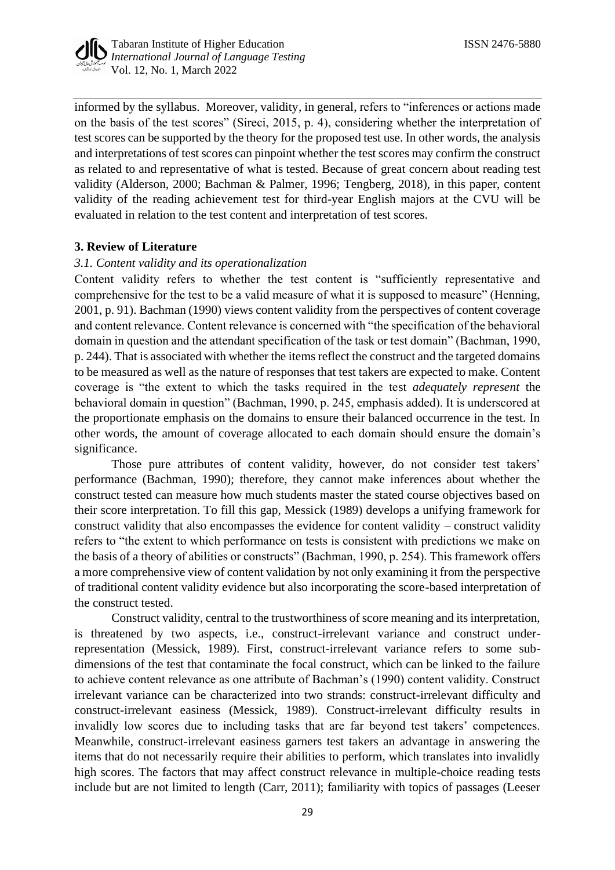

informed by the syllabus. Moreover, validity, in general, refers to "inferences or actions made on the basis of the test scores" (Sireci, 2015, p. 4), considering whether the interpretation of test scores can be supported by the theory for the proposed test use. In other words, the analysis and interpretations of test scores can pinpoint whether the test scores may confirm the construct as related to and representative of what is tested. Because of great concern about reading test validity (Alderson, 2000; Bachman & Palmer, 1996; Tengberg, 2018), in this paper, content validity of the reading achievement test for third-year English majors at the CVU will be evaluated in relation to the test content and interpretation of test scores.

# **3. Review of Literature**

# *3.1. Content validity and its operationalization*

Content validity refers to whether the test content is "sufficiently representative and comprehensive for the test to be a valid measure of what it is supposed to measure" (Henning, 2001, p. 91). Bachman (1990) views content validity from the perspectives of content coverage and content relevance. Content relevance is concerned with "the specification of the behavioral domain in question and the attendant specification of the task or test domain" (Bachman, 1990, p. 244). That is associated with whether the items reflect the construct and the targeted domains to be measured as well as the nature of responses that test takers are expected to make. Content coverage is "the extent to which the tasks required in the test *adequately represent* the behavioral domain in question" (Bachman, 1990, p. 245, emphasis added). It is underscored at the proportionate emphasis on the domains to ensure their balanced occurrence in the test. In other words, the amount of coverage allocated to each domain should ensure the domain's significance.

Those pure attributes of content validity, however, do not consider test takers' performance (Bachman, 1990); therefore, they cannot make inferences about whether the construct tested can measure how much students master the stated course objectives based on their score interpretation. To fill this gap, Messick (1989) develops a unifying framework for construct validity that also encompasses the evidence for content validity – construct validity refers to "the extent to which performance on tests is consistent with predictions we make on the basis of a theory of abilities or constructs" (Bachman, 1990, p. 254). This framework offers a more comprehensive view of content validation by not only examining it from the perspective of traditional content validity evidence but also incorporating the score-based interpretation of the construct tested.

Construct validity, central to the trustworthiness of score meaning and its interpretation, is threatened by two aspects, i.e., construct-irrelevant variance and construct underrepresentation (Messick, 1989). First, construct-irrelevant variance refers to some subdimensions of the test that contaminate the focal construct, which can be linked to the failure to achieve content relevance as one attribute of Bachman's (1990) content validity. Construct irrelevant variance can be characterized into two strands: construct-irrelevant difficulty and construct-irrelevant easiness (Messick, 1989). Construct-irrelevant difficulty results in invalidly low scores due to including tasks that are far beyond test takers' competences. Meanwhile, construct-irrelevant easiness garners test takers an advantage in answering the items that do not necessarily require their abilities to perform, which translates into invalidly high scores. The factors that may affect construct relevance in multiple-choice reading tests include but are not limited to length (Carr, 2011); familiarity with topics of passages (Leeser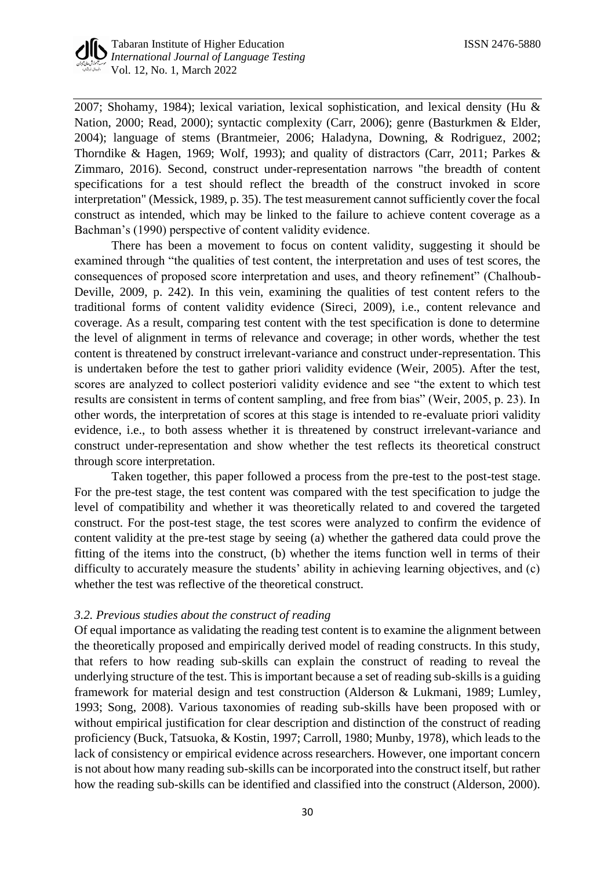2007; Shohamy, 1984); lexical variation, lexical sophistication, and lexical density (Hu & Nation, 2000; Read, 2000); syntactic complexity (Carr, 2006); genre (Basturkmen & Elder, 2004); language of stems (Brantmeier, 2006; Haladyna, Downing, & Rodriguez, 2002; Thorndike & Hagen, 1969; Wolf, 1993); and quality of distractors (Carr, 2011; Parkes & Zimmaro, 2016). Second, construct under-representation narrows "the breadth of content specifications for a test should reflect the breadth of the construct invoked in score interpretation" (Messick, 1989, p. 35). The test measurement cannot sufficiently cover the focal construct as intended, which may be linked to the failure to achieve content coverage as a Bachman's (1990) perspective of content validity evidence.

There has been a movement to focus on content validity, suggesting it should be examined through "the qualities of test content, the interpretation and uses of test scores, the consequences of proposed score interpretation and uses, and theory refinement" (Chalhoub-Deville, 2009, p. 242). In this vein, examining the qualities of test content refers to the traditional forms of content validity evidence (Sireci, 2009), i.e., content relevance and coverage. As a result, comparing test content with the test specification is done to determine the level of alignment in terms of relevance and coverage; in other words, whether the test content is threatened by construct irrelevant-variance and construct under-representation. This is undertaken before the test to gather priori validity evidence (Weir, 2005). After the test, scores are analyzed to collect posteriori validity evidence and see "the extent to which test results are consistent in terms of content sampling, and free from bias" (Weir, 2005, p. 23). In other words, the interpretation of scores at this stage is intended to re-evaluate priori validity evidence, i.e., to both assess whether it is threatened by construct irrelevant-variance and construct under-representation and show whether the test reflects its theoretical construct through score interpretation.

Taken together, this paper followed a process from the pre-test to the post-test stage. For the pre-test stage, the test content was compared with the test specification to judge the level of compatibility and whether it was theoretically related to and covered the targeted construct. For the post-test stage, the test scores were analyzed to confirm the evidence of content validity at the pre-test stage by seeing (a) whether the gathered data could prove the fitting of the items into the construct, (b) whether the items function well in terms of their difficulty to accurately measure the students' ability in achieving learning objectives, and (c) whether the test was reflective of the theoretical construct.

# *3.2. Previous studies about the construct of reading*

Of equal importance as validating the reading test content is to examine the alignment between the theoretically proposed and empirically derived model of reading constructs. In this study, that refers to how reading sub-skills can explain the construct of reading to reveal the underlying structure of the test. This is important because a set of reading sub-skills is a guiding framework for material design and test construction (Alderson & Lukmani, 1989; Lumley, 1993; Song, 2008). Various taxonomies of reading sub-skills have been proposed with or without empirical justification for clear description and distinction of the construct of reading proficiency (Buck, Tatsuoka, & Kostin, 1997; Carroll, 1980; Munby, 1978), which leads to the lack of consistency or empirical evidence across researchers. However, one important concern is not about how many reading sub-skills can be incorporated into the construct itself, but rather how the reading sub-skills can be identified and classified into the construct (Alderson, 2000).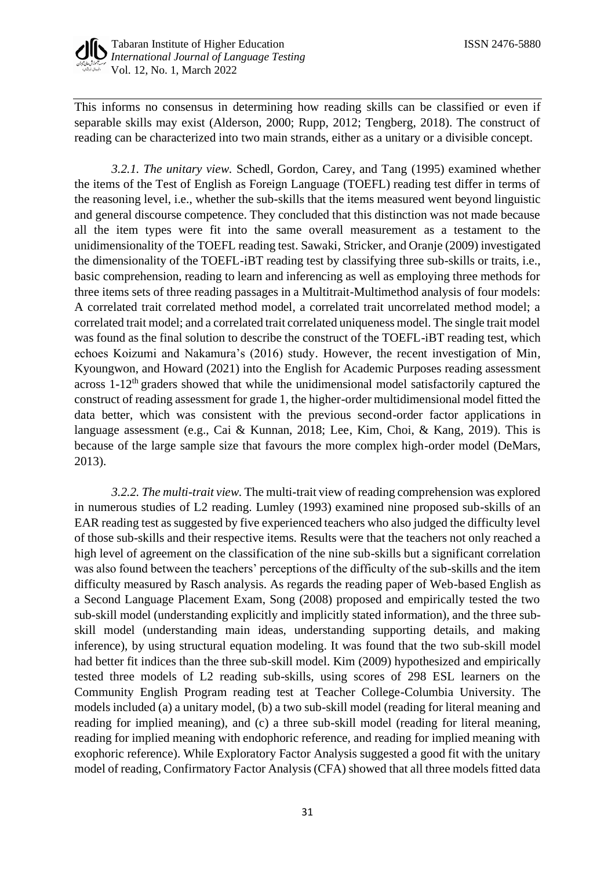

This informs no consensus in determining how reading skills can be classified or even if separable skills may exist (Alderson, 2000; Rupp, 2012; Tengberg, 2018). The construct of reading can be characterized into two main strands, either as a unitary or a divisible concept.

*3.2.1. The unitary view.* Schedl, Gordon, Carey, and Tang (1995) examined whether the items of the Test of English as Foreign Language (TOEFL) reading test differ in terms of the reasoning level, i.e., whether the sub-skills that the items measured went beyond linguistic and general discourse competence. They concluded that this distinction was not made because all the item types were fit into the same overall measurement as a testament to the unidimensionality of the TOEFL reading test. Sawaki, Stricker, and Oranje (2009) investigated the dimensionality of the TOEFL-iBT reading test by classifying three sub-skills or traits, i.e., basic comprehension, reading to learn and inferencing as well as employing three methods for three items sets of three reading passages in a Multitrait-Multimethod analysis of four models: A correlated trait correlated method model, a correlated trait uncorrelated method model; a correlated trait model; and a correlated trait correlated uniqueness model. The single trait model was found as the final solution to describe the construct of the TOEFL-iBT reading test, which echoes Koizumi and Nakamura's (2016) study. However, the recent investigation of Min, Kyoungwon, and Howard (2021) into the English for Academic Purposes reading assessment across  $1-12<sup>th</sup>$  graders showed that while the unidimensional model satisfactorily captured the construct of reading assessment for grade 1, the higher-order multidimensional model fitted the data better, which was consistent with the previous second-order factor applications in language assessment (e.g., Cai & Kunnan, 2018; Lee, Kim, Choi, & Kang, 2019). This is because of the large sample size that favours the more complex high-order model (DeMars, 2013).

*3.2.2. The multi-trait view.* The multi-trait view of reading comprehension was explored in numerous studies of L2 reading. Lumley (1993) examined nine proposed sub-skills of an EAR reading test as suggested by five experienced teachers who also judged the difficulty level of those sub-skills and their respective items. Results were that the teachers not only reached a high level of agreement on the classification of the nine sub-skills but a significant correlation was also found between the teachers' perceptions of the difficulty of the sub-skills and the item difficulty measured by Rasch analysis. As regards the reading paper of Web-based English as a Second Language Placement Exam, Song (2008) proposed and empirically tested the two sub-skill model (understanding explicitly and implicitly stated information), and the three subskill model (understanding main ideas, understanding supporting details, and making inference), by using structural equation modeling. It was found that the two sub-skill model had better fit indices than the three sub-skill model. Kim (2009) hypothesized and empirically tested three models of L2 reading sub-skills, using scores of 298 ESL learners on the Community English Program reading test at Teacher College-Columbia University. The models included (a) a unitary model, (b) a two sub-skill model (reading for literal meaning and reading for implied meaning), and (c) a three sub-skill model (reading for literal meaning, reading for implied meaning with endophoric reference, and reading for implied meaning with exophoric reference). While Exploratory Factor Analysis suggested a good fit with the unitary model of reading, Confirmatory Factor Analysis (CFA) showed that all three models fitted data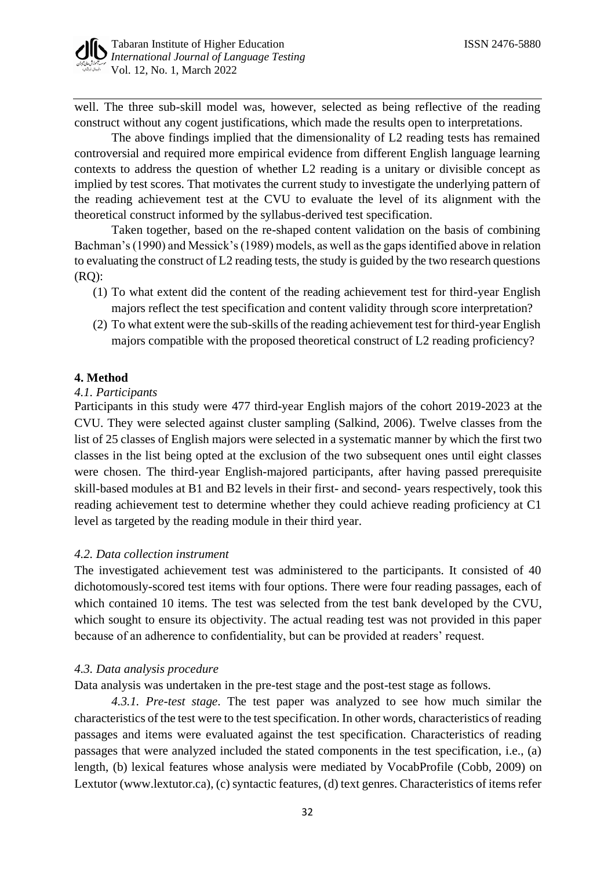well. The three sub-skill model was, however, selected as being reflective of the reading construct without any cogent justifications, which made the results open to interpretations.

The above findings implied that the dimensionality of L2 reading tests has remained controversial and required more empirical evidence from different English language learning contexts to address the question of whether L2 reading is a unitary or divisible concept as implied by test scores. That motivates the current study to investigate the underlying pattern of the reading achievement test at the CVU to evaluate the level of its alignment with the theoretical construct informed by the syllabus-derived test specification.

Taken together, based on the re-shaped content validation on the basis of combining Bachman's (1990) and Messick's (1989) models, as well as the gaps identified above in relation to evaluating the construct of L2 reading tests, the study is guided by the two research questions (RQ):

- (1) To what extent did the content of the reading achievement test for third-year English majors reflect the test specification and content validity through score interpretation?
- (2) To what extent were the sub-skills of the reading achievement test for third-year English majors compatible with the proposed theoretical construct of L2 reading proficiency?

# **4. Method**

#### *4.1. Participants*

Participants in this study were 477 third-year English majors of the cohort 2019-2023 at the CVU. They were selected against cluster sampling (Salkind, 2006). Twelve classes from the list of 25 classes of English majors were selected in a systematic manner by which the first two classes in the list being opted at the exclusion of the two subsequent ones until eight classes were chosen. The third-year English-majored participants, after having passed prerequisite skill-based modules at B1 and B2 levels in their first- and second- years respectively, took this reading achievement test to determine whether they could achieve reading proficiency at C1 level as targeted by the reading module in their third year.

# *4.2. Data collection instrument*

The investigated achievement test was administered to the participants. It consisted of 40 dichotomously-scored test items with four options. There were four reading passages, each of which contained 10 items. The test was selected from the test bank developed by the CVU, which sought to ensure its objectivity. The actual reading test was not provided in this paper because of an adherence to confidentiality, but can be provided at readers' request.

# *4.3. Data analysis procedure*

Data analysis was undertaken in the pre-test stage and the post-test stage as follows.

*4.3.1. Pre-test stage.* The test paper was analyzed to see how much similar the characteristics of the test were to the test specification. In other words, characteristics of reading passages and items were evaluated against the test specification. Characteristics of reading passages that were analyzed included the stated components in the test specification, i.e., (a) length, (b) lexical features whose analysis were mediated by VocabProfile (Cobb, 2009) on Lextutor (www.lextutor.ca), (c) syntactic features, (d) text genres. Characteristics of items refer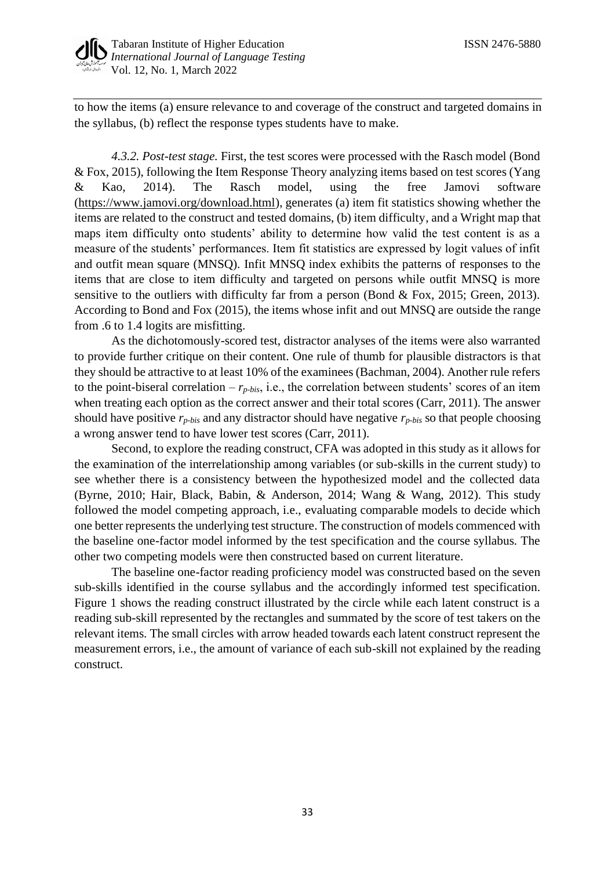

to how the items (a) ensure relevance to and coverage of the construct and targeted domains in the syllabus, (b) reflect the response types students have to make.

*4.3.2. Post-test stage.* First, the test scores were processed with the Rasch model (Bond & Fox, 2015), following the Item Response Theory analyzing items based on test scores (Yang & Kao, 2014). The Rasch model, using the free Jamovi software [\(https://www.jamovi.org/download.html\)](https://www.jamovi.org/download.html), generates (a) item fit statistics showing whether the items are related to the construct and tested domains, (b) item difficulty, and a Wright map that maps item difficulty onto students' ability to determine how valid the test content is as a measure of the students' performances. Item fit statistics are expressed by logit values of infit and outfit mean square (MNSQ). Infit MNSQ index exhibits the patterns of responses to the items that are close to item difficulty and targeted on persons while outfit MNSQ is more sensitive to the outliers with difficulty far from a person (Bond & Fox, 2015; Green, 2013). According to Bond and Fox (2015), the items whose infit and out MNSQ are outside the range from .6 to 1.4 logits are misfitting.

As the dichotomously-scored test, distractor analyses of the items were also warranted to provide further critique on their content. One rule of thumb for plausible distractors is that they should be attractive to at least 10% of the examinees (Bachman, 2004). Another rule refers to the point-biseral correlation –  $r_{p-bis}$ , i.e., the correlation between students' scores of an item when treating each option as the correct answer and their total scores (Carr, 2011). The answer should have positive *rp-bis* and any distractor should have negative *rp-bis* so that people choosing a wrong answer tend to have lower test scores (Carr, 2011).

Second, to explore the reading construct, CFA was adopted in this study as it allows for the examination of the interrelationship among variables (or sub-skills in the current study) to see whether there is a consistency between the hypothesized model and the collected data (Byrne, 2010; Hair, Black, Babin, & Anderson, 2014; Wang & Wang, 2012). This study followed the model competing approach, i.e., evaluating comparable models to decide which one better represents the underlying test structure. The construction of models commenced with the baseline one-factor model informed by the test specification and the course syllabus. The other two competing models were then constructed based on current literature.

The baseline one-factor reading proficiency model was constructed based on the seven sub-skills identified in the course syllabus and the accordingly informed test specification. Figure 1 shows the reading construct illustrated by the circle while each latent construct is a reading sub-skill represented by the rectangles and summated by the score of test takers on the relevant items. The small circles with arrow headed towards each latent construct represent the measurement errors, i.e., the amount of variance of each sub-skill not explained by the reading construct.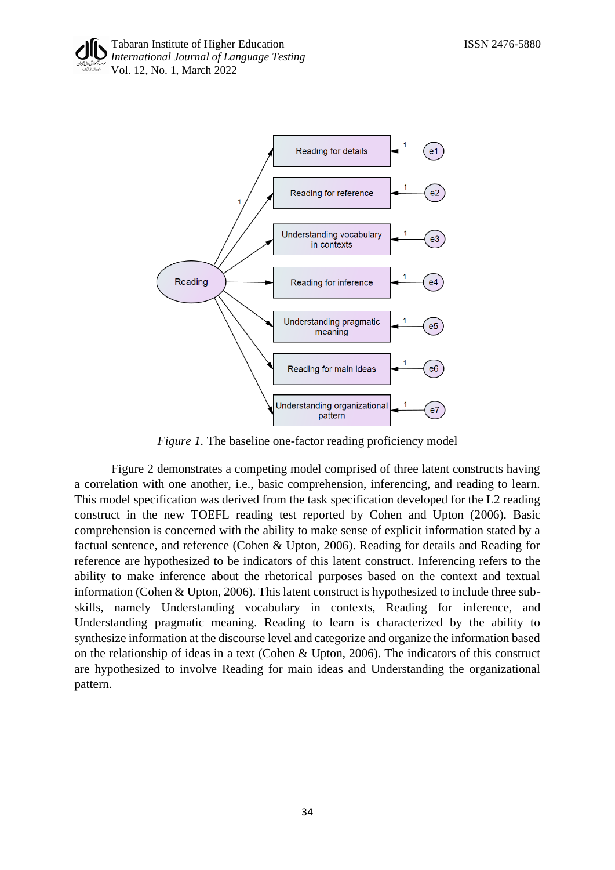

*Figure 1.* The baseline one-factor reading proficiency model

Figure 2 demonstrates a competing model comprised of three latent constructs having a correlation with one another, i.e., basic comprehension, inferencing, and reading to learn. This model specification was derived from the task specification developed for the L2 reading construct in the new TOEFL reading test reported by Cohen and Upton (2006). Basic comprehension is concerned with the ability to make sense of explicit information stated by a factual sentence, and reference (Cohen & Upton, 2006). Reading for details and Reading for reference are hypothesized to be indicators of this latent construct. Inferencing refers to the ability to make inference about the rhetorical purposes based on the context and textual information (Cohen & Upton, 2006). This latent construct is hypothesized to include three subskills, namely Understanding vocabulary in contexts, Reading for inference, and Understanding pragmatic meaning. Reading to learn is characterized by the ability to synthesize information at the discourse level and categorize and organize the information based on the relationship of ideas in a text (Cohen & Upton, 2006). The indicators of this construct are hypothesized to involve Reading for main ideas and Understanding the organizational pattern.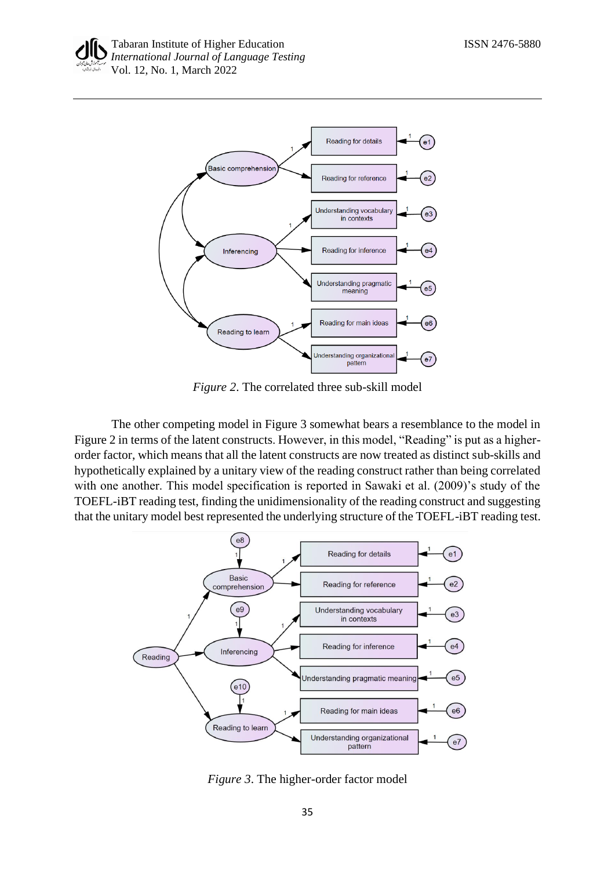

*Figure 2*. The correlated three sub-skill model

The other competing model in Figure 3 somewhat bears a resemblance to the model in Figure 2 in terms of the latent constructs. However, in this model, "Reading" is put as a higherorder factor, which means that all the latent constructs are now treated as distinct sub-skills and hypothetically explained by a unitary view of the reading construct rather than being correlated with one another. This model specification is reported in Sawaki et al. (2009)'s study of the TOEFL-iBT reading test, finding the unidimensionality of the reading construct and suggesting that the unitary model best represented the underlying structure of the TOEFL-iBT reading test.



*Figure 3*. The higher-order factor model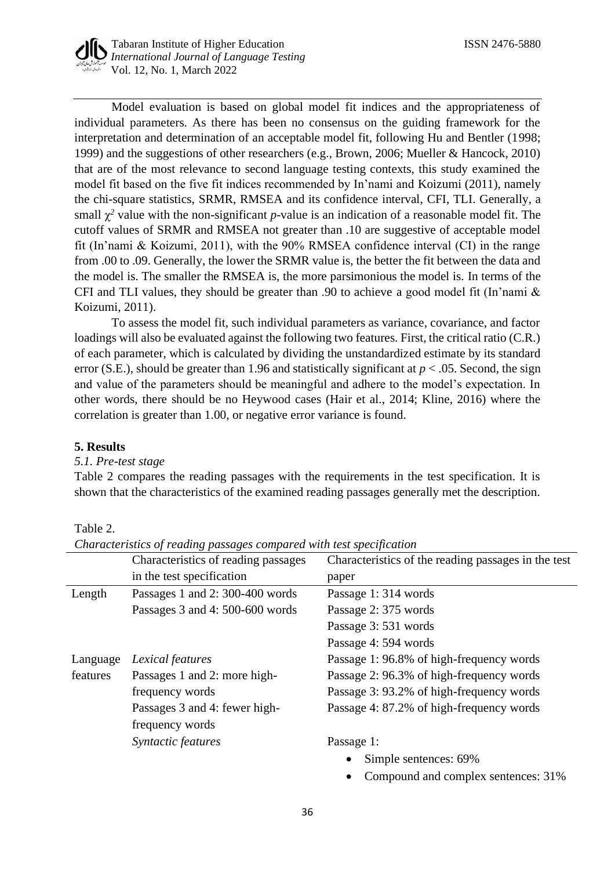

Model evaluation is based on global model fit indices and the appropriateness of individual parameters. As there has been no consensus on the guiding framework for the interpretation and determination of an acceptable model fit, following Hu and Bentler (1998; 1999) and the suggestions of other researchers (e.g., Brown, 2006; Mueller & Hancock, 2010) that are of the most relevance to second language testing contexts, this study examined the model fit based on the five fit indices recommended by In'nami and Koizumi (2011), namely the chi-square statistics, SRMR, RMSEA and its confidence interval, CFI, TLI. Generally, a small  $\chi^2$  value with the non-significant *p*-value is an indication of a reasonable model fit. The cutoff values of SRMR and RMSEA not greater than .10 are suggestive of acceptable model fit (In'nami & Koizumi, 2011), with the 90% RMSEA confidence interval (CI) in the range from .00 to .09. Generally, the lower the SRMR value is, the better the fit between the data and the model is. The smaller the RMSEA is, the more parsimonious the model is. In terms of the CFI and TLI values, they should be greater than .90 to achieve a good model fit (In'nami & Koizumi, 2011).

To assess the model fit, such individual parameters as variance, covariance, and factor loadings will also be evaluated against the following two features. First, the critical ratio (C.R.) of each parameter, which is calculated by dividing the unstandardized estimate by its standard error (S.E.), should be greater than 1.96 and statistically significant at  $p < .05$ . Second, the sign and value of the parameters should be meaningful and adhere to the model's expectation. In other words, there should be no Heywood cases (Hair et al., 2014; Kline, 2016) where the correlation is greater than 1.00, or negative error variance is found.

# **5. Results**

#### *5.1. Pre-test stage*

Table 2 compares the reading passages with the requirements in the test specification. It is shown that the characteristics of the examined reading passages generally met the description.

Table 2.

| Characteristics of reading passages compared with test specification |  |  |  |
|----------------------------------------------------------------------|--|--|--|
|                                                                      |  |  |  |

|          | Characteristics of reading passages | Characteristics of the reading passages in the test |
|----------|-------------------------------------|-----------------------------------------------------|
|          | in the test specification           | paper                                               |
| Length   | Passages 1 and 2:300-400 words      | Passage 1: 314 words                                |
|          | Passages 3 and 4: 500-600 words     | Passage 2: 375 words                                |
|          |                                     | Passage 3: 531 words                                |
|          |                                     | Passage 4: 594 words                                |
| Language | Lexical features                    | Passage 1: 96.8% of high-frequency words            |
| features | Passages 1 and 2: more high-        | Passage 2: 96.3% of high-frequency words            |
|          | frequency words                     | Passage 3: 93.2% of high-frequency words            |
|          | Passages 3 and 4: fewer high-       | Passage 4: 87.2% of high-frequency words            |
|          | frequency words                     |                                                     |
|          | Syntactic features                  | Passage 1:                                          |
|          |                                     | Simple sentences: 69%                               |
|          |                                     | Compound and complex sentences: 31%                 |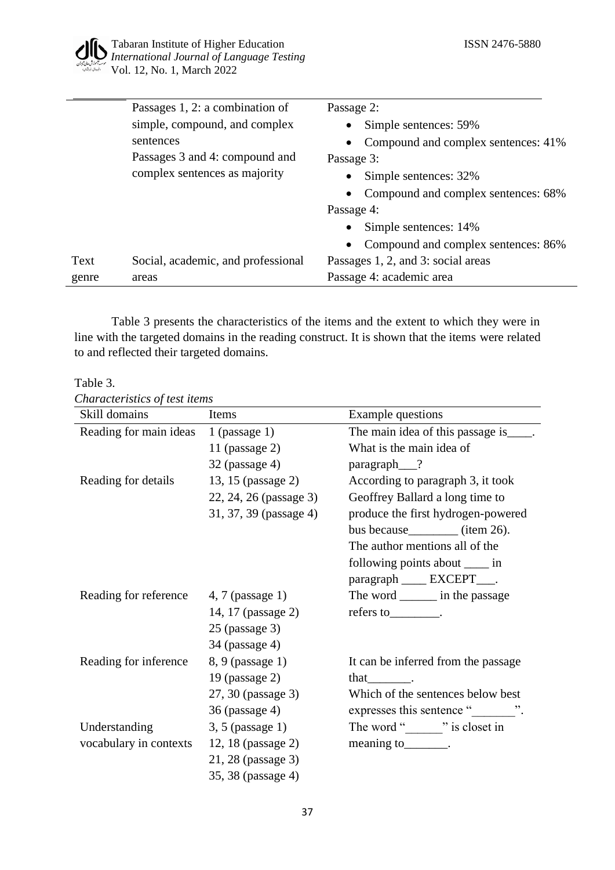

|       | Passages 1, 2: a combination of    | Passage 2:                          |
|-------|------------------------------------|-------------------------------------|
|       | simple, compound, and complex      | Simple sentences: 59%<br>$\bullet$  |
|       | sentences                          | Compound and complex sentences: 41% |
|       | Passages 3 and 4: compound and     | Passage 3:                          |
|       | complex sentences as majority      | Simple sentences: 32%<br>$\bullet$  |
|       |                                    | Compound and complex sentences: 68% |
|       |                                    | Passage 4:                          |
|       |                                    | Simple sentences: 14%<br>$\bullet$  |
|       |                                    | Compound and complex sentences: 86% |
| Text  | Social, academic, and professional | Passages 1, 2, and 3: social areas  |
| genre | areas                              | Passage 4: academic area            |

Table 3 presents the characteristics of the items and the extent to which they were in line with the targeted domains in the reading construct. It is shown that the items were related to and reflected their targeted domains.

Table 3.

*Characteristics of test items*

| Skill domains                          | Items                  | Example questions                       |
|----------------------------------------|------------------------|-----------------------------------------|
| Reading for main ideas                 | 1 (passage $1$ )       | The main idea of this passage is _____. |
|                                        | 11 (passage $2$ )      | What is the main idea of                |
|                                        | $32$ (passage 4)       | paragraph <sub>___</sub> ?              |
| Reading for details                    | 13, 15 (passage 2)     | According to paragraph 3, it took       |
|                                        | 22, 24, 26 (passage 3) | Geoffrey Ballard a long time to         |
|                                        | 31, 37, 39 (passage 4) | produce the first hydrogen-powered      |
|                                        |                        | bus because_________ (item 26).         |
|                                        |                        | The author mentions all of the          |
|                                        |                        | following points about _____ in         |
|                                        |                        | paragraph ____ EXCEPT____.              |
| Reading for reference 4, 7 (passage 1) |                        | The word ________ in the passage        |
|                                        | 14, 17 (passage 2)     | $refers to$ .                           |
|                                        | $25$ (passage 3)       |                                         |
|                                        | 34 (passage 4)         |                                         |
| Reading for inference                  | 8, 9 (passage 1)       | It can be inferred from the passage     |
|                                        | 19 (passage 2)         | that .                                  |
|                                        | 27, 30 (passage 3)     | Which of the sentences below best       |
|                                        | 36 (passage 4)         | expresses this sentence ""              |
| Understanding                          | $3, 5$ (passage 1)     | The word " is closet in                 |
| vocabulary in contexts                 | 12, 18 (passage 2)     | meaning to________.                     |
|                                        | 21, 28 (passage 3)     |                                         |
|                                        | 35, 38 (passage 4)     |                                         |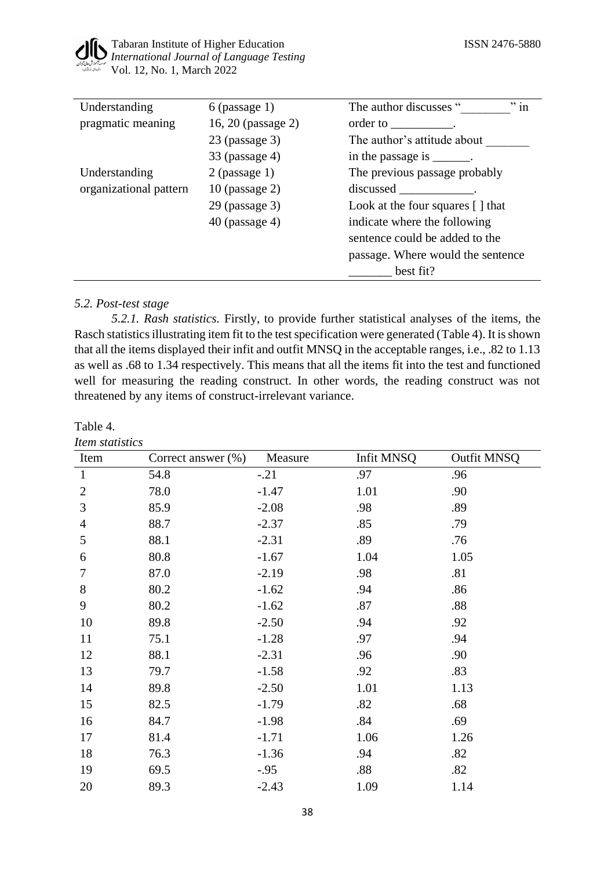

| Understanding          | $6$ (passage 1)    | $"$ in<br>The author discusses "                                                                                                                                                                                               |
|------------------------|--------------------|--------------------------------------------------------------------------------------------------------------------------------------------------------------------------------------------------------------------------------|
| pragmatic meaning      | 16, 20 (passage 2) | order to response to the control of the control of the control of the control of the control of the control of the control of the control of the control of the control of the control of the control of the control of the co |
|                        | $23$ (passage 3)   | The author's attitude about                                                                                                                                                                                                    |
|                        | $33$ (passage 4)   | in the passage is _______.                                                                                                                                                                                                     |
| Understanding          | $2$ (passage 1)    | The previous passage probably                                                                                                                                                                                                  |
| organizational pattern | $10$ (passage 2)   | discussed in the contract of the contract of the contract of the contract of the contract of the contract of the contract of the contract of the contract of the contract of the contract of the contract of the contract of t |
|                        | $29$ (passage 3)   | Look at the four squares $[ ]$ that                                                                                                                                                                                            |
|                        | $40$ (passage 4)   | indicate where the following                                                                                                                                                                                                   |
|                        |                    | sentence could be added to the                                                                                                                                                                                                 |
|                        |                    | passage. Where would the sentence                                                                                                                                                                                              |
|                        |                    | best fit?                                                                                                                                                                                                                      |

# *5.2. Post-test stage*

*5.2.1. Rash statistics.* Firstly, to provide further statistical analyses of the items, the Rasch statistics illustrating item fit to the test specification were generated (Table 4). It is shown that all the items displayed their infit and outfit MNSQ in the acceptable ranges, i.e., .82 to 1.13 as well as .68 to 1.34 respectively. This means that all the items fit into the test and functioned well for measuring the reading construct. In other words, the reading construct was not threatened by any items of construct-irrelevant variance.

#### Table 4.

| Item statistics |                       |         |            |                    |
|-----------------|-----------------------|---------|------------|--------------------|
| Item            | Correct answer $(\%)$ | Measure | Infit MNSQ | <b>Outfit MNSQ</b> |
| $\mathbf{1}$    | 54.8                  | $-.21$  | .97        | .96                |
| $\mathbf{2}$    | 78.0                  | $-1.47$ | 1.01       | .90                |
| 3               | 85.9                  | $-2.08$ | .98        | .89                |
| $\overline{4}$  | 88.7                  | $-2.37$ | .85        | .79                |
| 5               | 88.1                  | $-2.31$ | .89        | .76                |
| 6               | 80.8                  | $-1.67$ | 1.04       | 1.05               |
| 7               | 87.0                  | $-2.19$ | .98        | .81                |
| 8               | 80.2                  | $-1.62$ | .94        | .86                |
| 9               | 80.2                  | $-1.62$ | .87        | .88                |
| 10              | 89.8                  | $-2.50$ | .94        | .92                |
| 11              | 75.1                  | $-1.28$ | .97        | .94                |
| 12              | 88.1                  | $-2.31$ | .96        | .90                |
| 13              | 79.7                  | $-1.58$ | .92        | .83                |
| 14              | 89.8                  | $-2.50$ | 1.01       | 1.13               |
| 15              | 82.5                  | $-1.79$ | .82        | .68                |
| 16              | 84.7                  | $-1.98$ | .84        | .69                |
| 17              | 81.4                  | $-1.71$ | 1.06       | 1.26               |
| 18              | 76.3                  | $-1.36$ | .94        | .82                |
| 19              | 69.5                  | $-.95$  | .88        | .82                |
| 20              | 89.3                  | $-2.43$ | 1.09       | 1.14               |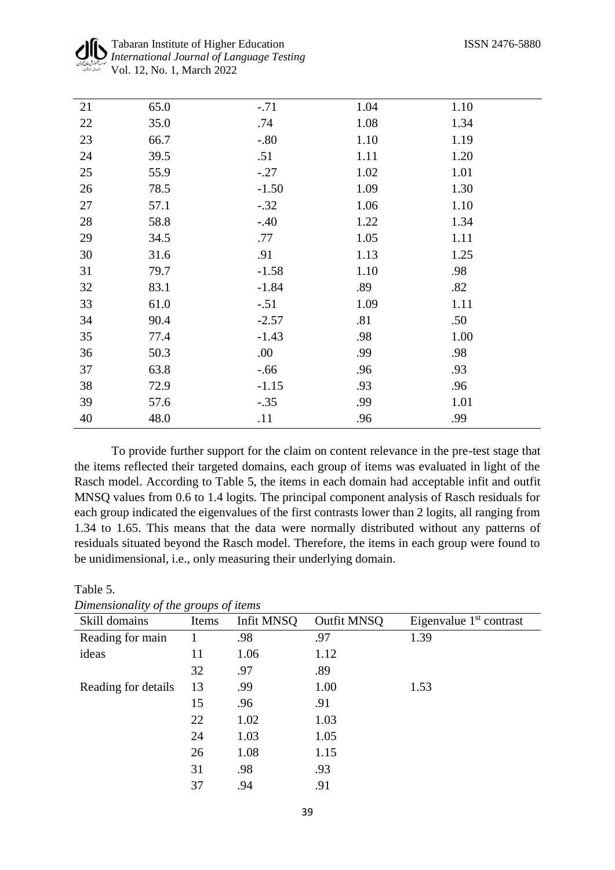| 21     | 65.0 | $-.71$  | 1.04 | 1.10 |
|--------|------|---------|------|------|
| $22\,$ | 35.0 | .74     | 1.08 | 1.34 |
| 23     | 66.7 | $-.80$  | 1.10 | 1.19 |
| 24     | 39.5 | .51     | 1.11 | 1.20 |
| 25     | 55.9 | $-.27$  | 1.02 | 1.01 |
| 26     | 78.5 | $-1.50$ | 1.09 | 1.30 |
| 27     | 57.1 | $-.32$  | 1.06 | 1.10 |
| 28     | 58.8 | $-.40$  | 1.22 | 1.34 |
| 29     | 34.5 | .77     | 1.05 | 1.11 |
| 30     | 31.6 | .91     | 1.13 | 1.25 |
| 31     | 79.7 | $-1.58$ | 1.10 | .98  |
| 32     | 83.1 | $-1.84$ | .89  | .82  |
| 33     | 61.0 | $-.51$  | 1.09 | 1.11 |
| 34     | 90.4 | $-2.57$ | .81  | .50  |
| 35     | 77.4 | $-1.43$ | .98  | 1.00 |
| 36     | 50.3 | .00     | .99  | .98  |
| 37     | 63.8 | $-.66$  | .96  | .93  |
| 38     | 72.9 | $-1.15$ | .93  | .96  |
| 39     | 57.6 | $-.35$  | .99  | 1.01 |
| 40     | 48.0 | .11     | .96  | .99  |
|        |      |         |      |      |

To provide further support for the claim on content relevance in the pre-test stage that the items reflected their targeted domains, each group of items was evaluated in light of the Rasch model. According to Table 5, the items in each domain had acceptable infit and outfit MNSQ values from 0.6 to 1.4 logits. The principal component analysis of Rasch residuals for each group indicated the eigenvalues of the first contrasts lower than 2 logits, all ranging from 1.34 to 1.65. This means that the data were normally distributed without any patterns of residuals situated beyond the Rasch model. Therefore, the items in each group were found to be unidimensional, i.e., only measuring their underlying domain.

| Skill domains       | Items | Infit MNSQ | Outfit MNSQ | Eigenvalue $1st$ contrast |
|---------------------|-------|------------|-------------|---------------------------|
| Reading for main    |       | .98        | .97         | 1.39                      |
| ideas               | 11    | 1.06       | 1.12        |                           |
|                     | 32    | .97        | .89         |                           |
| Reading for details | 13    | .99        | 1.00        | 1.53                      |
|                     | 15    | .96        | .91         |                           |
|                     | 22    | 1.02       | 1.03        |                           |
|                     | 24    | 1.03       | 1.05        |                           |
|                     | 26    | 1.08       | 1.15        |                           |
|                     | 31    | .98        | .93         |                           |
|                     | 37    | .94        | .91         |                           |

| Dimensionality of the groups of items |  |  |
|---------------------------------------|--|--|
|                                       |  |  |

Table 5.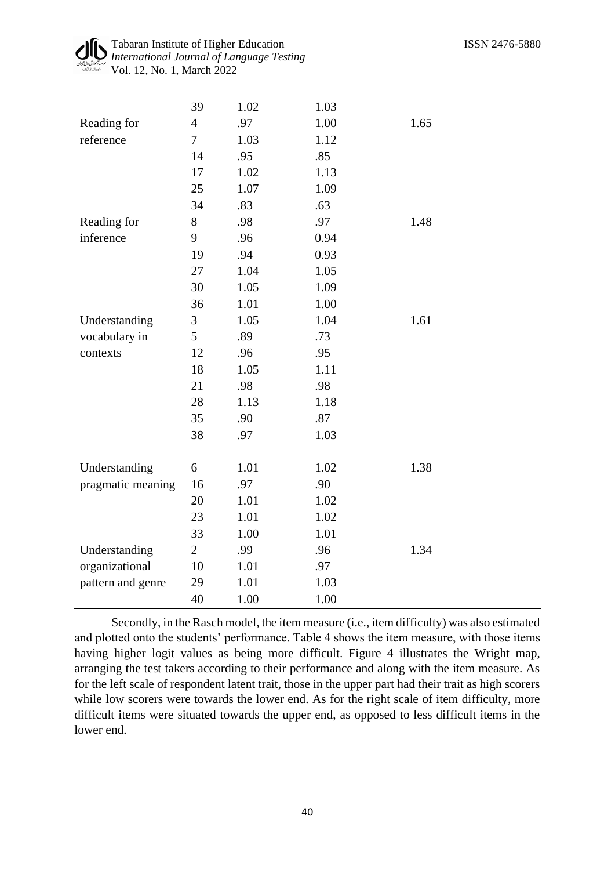l,

|                   | 39             | 1.02 | 1.03 |      |
|-------------------|----------------|------|------|------|
| Reading for       | $\overline{4}$ | .97  | 1.00 | 1.65 |
| reference         | $\overline{7}$ | 1.03 | 1.12 |      |
|                   | 14             | .95  | .85  |      |
|                   | 17             | 1.02 | 1.13 |      |
|                   | 25             | 1.07 | 1.09 |      |
|                   | 34             | .83  | .63  |      |
| Reading for       | 8              | .98  | .97  | 1.48 |
| inference         | 9              | .96  | 0.94 |      |
|                   | 19             | .94  | 0.93 |      |
|                   | 27             | 1.04 | 1.05 |      |
|                   | 30             | 1.05 | 1.09 |      |
|                   | 36             | 1.01 | 1.00 |      |
| Understanding     | 3              | 1.05 | 1.04 | 1.61 |
| vocabulary in     | 5              | .89  | .73  |      |
| contexts          | 12             | .96  | .95  |      |
|                   | 18             | 1.05 | 1.11 |      |
|                   | 21             | .98  | .98  |      |
|                   | 28             | 1.13 | 1.18 |      |
|                   | 35             | .90  | .87  |      |
|                   | 38             | .97  | 1.03 |      |
|                   |                |      |      |      |
| Understanding     | 6              | 1.01 | 1.02 | 1.38 |
| pragmatic meaning | 16             | .97  | .90  |      |
|                   | 20             | 1.01 | 1.02 |      |
|                   | 23             | 1.01 | 1.02 |      |
|                   | 33             | 1.00 | 1.01 |      |
| Understanding     | $\overline{2}$ | .99  | .96  | 1.34 |
| organizational    | 10             | 1.01 | .97  |      |
| pattern and genre | 29             | 1.01 | 1.03 |      |
|                   | 40             | 1.00 | 1.00 |      |

Secondly, in the Rasch model, the item measure (i.e., item difficulty) was also estimated and plotted onto the students' performance. Table 4 shows the item measure, with those items having higher logit values as being more difficult. Figure 4 illustrates the Wright map, arranging the test takers according to their performance and along with the item measure. As for the left scale of respondent latent trait, those in the upper part had their trait as high scorers while low scorers were towards the lower end. As for the right scale of item difficulty, more difficult items were situated towards the upper end, as opposed to less difficult items in the lower end.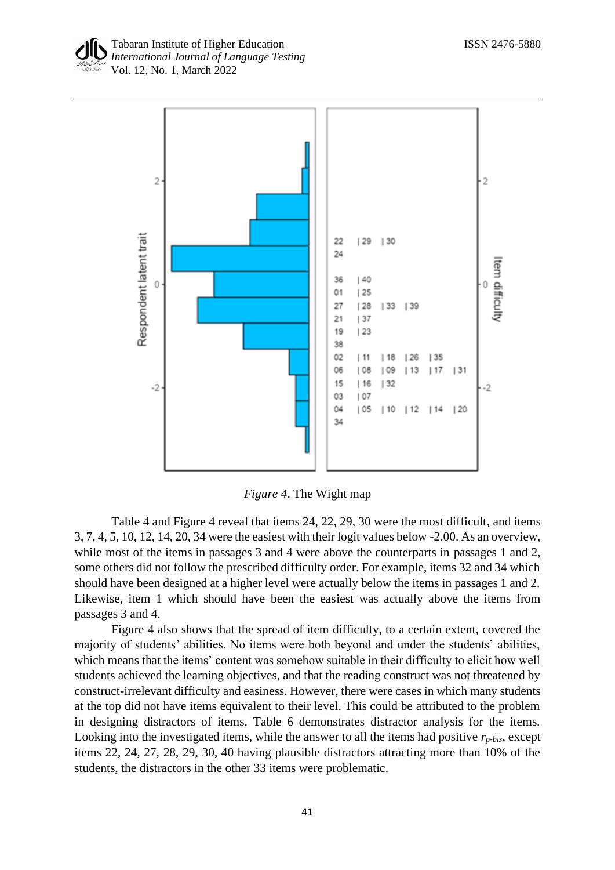



*Figure 4*. The Wight map

Table 4 and Figure 4 reveal that items 24, 22, 29, 30 were the most difficult, and items 3, 7, 4, 5, 10, 12, 14, 20, 34 were the easiest with their logit values below -2.00. As an overview, while most of the items in passages 3 and 4 were above the counterparts in passages 1 and 2, some others did not follow the prescribed difficulty order. For example, items 32 and 34 which should have been designed at a higher level were actually below the items in passages 1 and 2. Likewise, item 1 which should have been the easiest was actually above the items from passages 3 and 4.

Figure 4 also shows that the spread of item difficulty, to a certain extent, covered the majority of students' abilities. No items were both beyond and under the students' abilities, which means that the items' content was somehow suitable in their difficulty to elicit how well students achieved the learning objectives, and that the reading construct was not threatened by construct-irrelevant difficulty and easiness. However, there were cases in which many students at the top did not have items equivalent to their level. This could be attributed to the problem in designing distractors of items. Table 6 demonstrates distractor analysis for the items. Looking into the investigated items, while the answer to all the items had positive  $r_{p-bis}$ , except items 22, 24, 27, 28, 29, 30, 40 having plausible distractors attracting more than 10% of the students, the distractors in the other 33 items were problematic.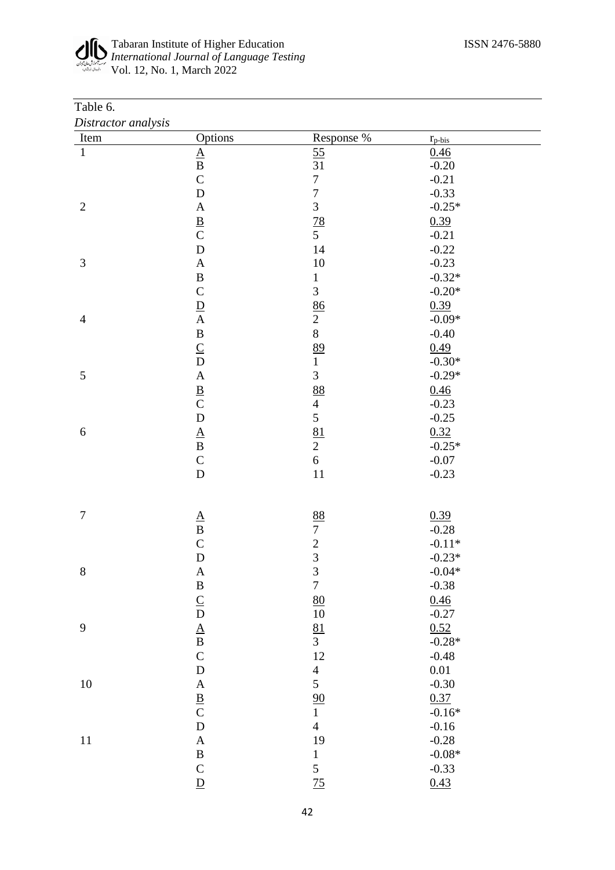#### Tabaran Institute of Higher Education ISSN 2476-5880 *International Journal of Language Testing* Vol. 12, No. 1, March 2022

#### Table 6. *Distractor analysis*

| Item             | Options                         | Response %                                 | $r_{p-bis}$ |  |
|------------------|---------------------------------|--------------------------------------------|-------------|--|
| $\mathbf{1}$     |                                 | $\frac{55}{31}$                            | 0.46        |  |
|                  | $\frac{\mathbf{A}}{\mathbf{B}}$ |                                            | $-0.20$     |  |
|                  | $\overline{C}$                  | $\sqrt{ }$                                 | $-0.21$     |  |
|                  | $\mathbf{D}%$                   | $\overline{7}$                             | $-0.33$     |  |
| $\sqrt{2}$       | $\mathbf A$                     | $\overline{3}$                             | $-0.25*$    |  |
|                  | $rac{B}{C}$                     | $\frac{78}{5}$                             | 0.39        |  |
|                  |                                 |                                            | $-0.21$     |  |
|                  | $\overline{D}$                  | 14                                         | $-0.22$     |  |
| $\mathfrak{Z}$   | $\mathbf A$                     | $10\,$                                     | $-0.23$     |  |
|                  | $\, {\bf B}$                    | $\,1$                                      | $-0.32*$    |  |
|                  | $\overline{C}$                  | $\overline{3}$                             | $-0.20*$    |  |
|                  | $\frac{\mathbf{D}}{\mathbf{A}}$ | 86                                         | 0.39        |  |
| $\overline{4}$   |                                 | $\overline{2}$                             | $-0.09*$    |  |
|                  |                                 | 8                                          | $-0.40$     |  |
|                  | $\frac{B}{C}$                   | 89                                         | 0.49        |  |
|                  |                                 | $\mathbf{1}$                               | $-0.30*$    |  |
| $\mathfrak{S}$   | $\mathbf{A}$                    | $\overline{3}$                             | $-0.29*$    |  |
|                  | $rac{B}{C}$                     | 88                                         | 0.46        |  |
|                  |                                 | $\overline{4}$                             | $-0.23$     |  |
|                  | $\overline{D}$                  | 5                                          | $-0.25$     |  |
| $\boldsymbol{6}$ | $\frac{\mathbf{A}}{\mathbf{B}}$ | $\frac{81}{2}$                             | 0.32        |  |
|                  |                                 |                                            | $-0.25*$    |  |
|                  | $\mathbf C$                     | $\sqrt{6}$                                 | $-0.07$     |  |
|                  | $\overline{D}$                  | $11\,$                                     | $-0.23$     |  |
|                  |                                 |                                            |             |  |
|                  |                                 |                                            |             |  |
| $\tau$           | $\frac{\mathbf{A}}{\mathbf{B}}$ | 88                                         | 0.39        |  |
|                  |                                 | $\overline{7}$                             | $-0.28$     |  |
|                  | $\overline{C}$                  | $\begin{array}{c} 2 \\ 3 \\ 3 \end{array}$ | $-0.11*$    |  |
|                  | $\frac{D}{A}$                   |                                            | $-0.23*$    |  |
| 8                |                                 |                                            | $-0.04*$    |  |
|                  | $\bf{B}$                        | $\boldsymbol{7}$                           | $-0.38$     |  |
|                  | $\frac{C}{D}$ $\frac{A}{B}$     | 80                                         | 0.46        |  |
|                  |                                 | 10                                         | $-0.27$     |  |
| 9                |                                 | $\frac{81}{3}$                             | 0.52        |  |
|                  |                                 |                                            | $-0.28*$    |  |
|                  | $\mathbf C$                     | 12                                         | $-0.48$     |  |
|                  | $\label{eq:1} \mathbf{D}$       | $\frac{4}{5}$                              | $0.01\,$    |  |
| $10\,$           | $\boldsymbol{A}$                |                                            | $-0.30$     |  |
|                  | $rac{B}{C}$                     | $\frac{90}{1}$                             | 0.37        |  |
|                  |                                 |                                            | $-0.16*$    |  |
|                  | $\mathbf D$                     | $\overline{4}$                             | $-0.16$     |  |
| 11               | $\mathbf A$                     | 19                                         | $-0.28$     |  |
|                  | $\, {\bf B}$                    | $\mathbf{1}$                               | $-0.08\,^*$ |  |
|                  | $\mathbf C$                     | 5                                          | $-0.33$     |  |
|                  | $\overline{D}$                  | 75                                         | 0.43        |  |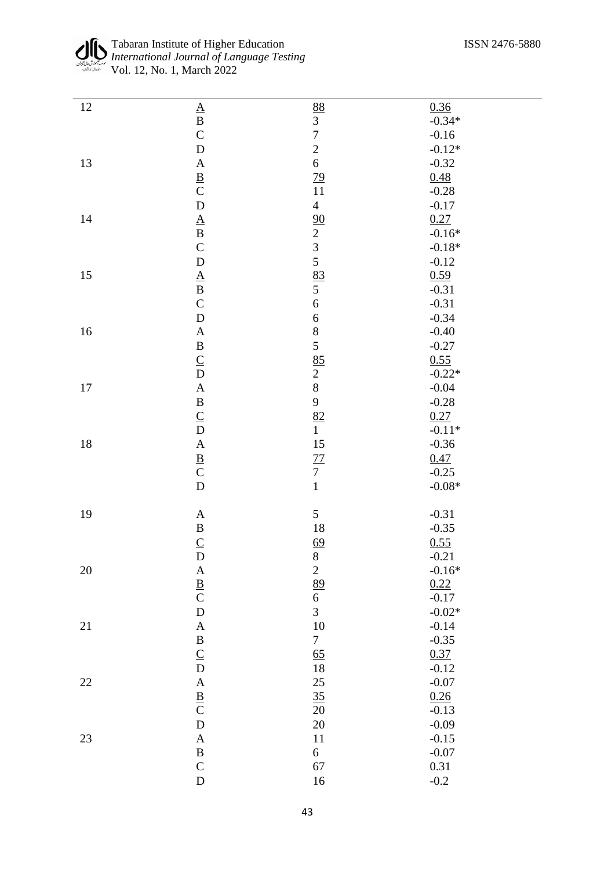| 12     | $\underline{A}$                 | 88                       | 0.36        |
|--------|---------------------------------|--------------------------|-------------|
|        | $\, {\bf B}$                    | $\overline{3}$           | $-0.34*$    |
|        | $\mathsf{C}$                    | $\overline{7}$           | $-0.16$     |
|        | $\mathbf D$                     | $\overline{c}$           | $-0.12*$    |
| 13     | $\boldsymbol{\rm{A}}$           | $\sqrt{6}$               | $-0.32$     |
|        |                                 |                          | 0.48        |
|        | $rac{B}{C}$                     | $\frac{79}{11}$          | $-0.28$     |
|        | $\overline{D}$                  | $\overline{4}$           | $-0.17$     |
| $14\,$ |                                 |                          | 0.27        |
|        | $\frac{\mathbf{A}}{\mathbf{B}}$ |                          | $-0.16*$    |
|        | $\mathbf C$                     |                          | $-0.18*$    |
|        | $\mathbf D$                     | $\frac{90}{2}$<br>3<br>5 | $-0.12$     |
| 15     |                                 |                          | 0.59        |
|        | $\frac{\mathbf{A}}{\mathbf{B}}$ | $\frac{83}{5}$           | $-0.31$     |
|        | $\mathbf C$                     | $\overline{6}$           | $-0.31$     |
|        | $\mathbf D$                     | $\boldsymbol{6}$         | $-0.34$     |
| $16\,$ | $\boldsymbol{A}$                | 8                        | $-0.40$     |
|        | $\, {\bf B}$                    | 5                        | $-0.27$     |
|        |                                 |                          | 0.55        |
|        | $\frac{C}{D}$                   | $\frac{85}{2}$           | $-0.22*$    |
|        | $\mathbf{A}$                    | 8                        | $-0.04$     |
| 17     |                                 | 9                        |             |
|        | $\, {\bf B}$                    |                          | $-0.28$     |
|        | $rac{C}{D}$                     | $\frac{82}{1}$           | 0.27        |
|        |                                 |                          | $-0.11*$    |
| 18     | $\mathbf{A}$                    | 15                       | $-0.36$     |
|        | $rac{B}{C}$                     | $\frac{77}{7}$           | 0.47        |
|        |                                 |                          | $-0.25$     |
|        | $\overline{D}$                  | $\mathbf{1}$             | $-0.08\,^*$ |
|        |                                 | 5                        | $-0.31$     |
| 19     | $\boldsymbol{A}$                |                          |             |
|        | $\, {\bf B}$                    | 18                       | $-0.35$     |
|        | $\underline{C}$                 | $\frac{69}{8}$           | 0.55        |
|        | $\mathbf D$                     |                          | $-0.21$     |
| 20     | $\mathbf{A}$                    | $\sqrt{2}$               | $-0.16*$    |
|        | $rac{B}{C}$                     | 89<br>$\overline{6}$     | 0.22        |
|        | $\mathbf D$                     | $\overline{3}$           | $-0.17$     |
|        |                                 |                          | $-0.02*$    |
| 21     | $\mathbf A$                     | 10                       | $-0.14$     |
|        | $\, {\bf B}$                    | $\tau$                   | $-0.35$     |
|        | $\frac{C}{D}$                   | 65                       | 0.37        |
|        |                                 | 18                       | $-0.12$     |
| $22\,$ | $\boldsymbol{A}$                | 25                       | $-0.07$     |
|        | $rac{B}{C}$                     | 35                       | 0.26        |
|        |                                 | $20\,$                   | $-0.13$     |
|        | ${\bf D}$                       | $20\,$                   | $-0.09$     |
| 23     | $\boldsymbol{\rm{A}}$           | 11                       | $-0.15$     |
|        | $\, {\bf B}$                    | $\boldsymbol{6}$         | $-0.07$     |
|        | $\mathbf C$                     | 67                       | 0.31        |
|        | $\mathbf D$                     | 16                       | $-0.2$      |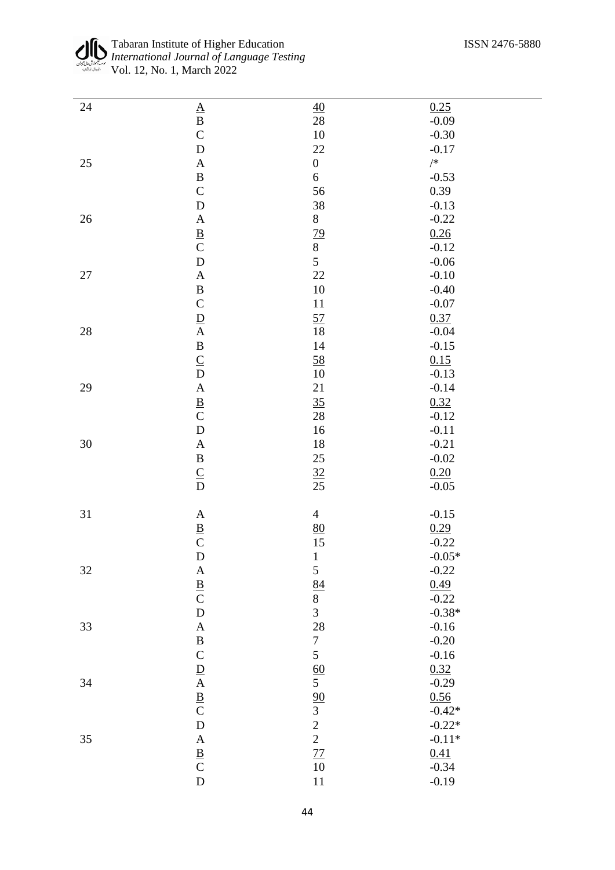| 24     |                                                                 | 40                                      | 0.25        |
|--------|-----------------------------------------------------------------|-----------------------------------------|-------------|
|        | $\frac{A}{B}$                                                   | 28                                      | $-0.09$     |
|        |                                                                 | $10\,$                                  | $-0.30$     |
|        |                                                                 |                                         |             |
|        | $\overline{D}$                                                  | $22\,$                                  | $-0.17$     |
| $25\,$ | $\mathbf{A}$                                                    | $\boldsymbol{0}$                        | $/\ast$     |
|        | $\overline{B}$                                                  | $\boldsymbol{6}$                        | $-0.53$     |
|        | $\mathbf C$                                                     | 56                                      | 0.39        |
|        | $\overline{D}$                                                  | 38                                      | $-0.13$     |
| $26\,$ |                                                                 | 8                                       | $-0.22$     |
|        | $\frac{\mathbf{A}}{\mathbf{B}}$ $\frac{\mathbf{B}}{\mathbf{C}}$ |                                         | 0.26        |
|        |                                                                 |                                         | $-0.12$     |
|        | $\overline{D}$                                                  | $\frac{79}{8}$                          |             |
|        |                                                                 |                                         | $-0.06$     |
| $27\,$ | $\mathbf{A}$                                                    | 22                                      | $-0.10$     |
|        | $\frac{B}{C}$                                                   | $10\,$                                  | $-0.40$     |
|        |                                                                 | 11                                      | $-0.07$     |
|        |                                                                 | $\frac{57}{2}$                          | 0.37        |
| $28\,$ | $\frac{\mathbf{D}}{\mathbf{A}}$                                 | $18\,$                                  | $-0.04$     |
|        |                                                                 | $14\,$                                  | $-0.15$     |
|        |                                                                 | 58                                      | 0.15        |
|        | $\begin{array}{c}\nB \ C \ D \ A \ B \ C\n\end{array}$          | $10\,$                                  | $-0.13$     |
| 29     |                                                                 | 21                                      | $-0.14$     |
|        |                                                                 |                                         |             |
|        |                                                                 | 35                                      | 0.32        |
|        |                                                                 | $28\,$                                  | $-0.12$     |
|        | $\overline{D}$                                                  | $16\,$                                  | $-0.11$     |
| $30\,$ | $\mathbf{A}$                                                    | $18\,$                                  | $-0.21$     |
|        | $\frac{\mathbf{B}}{\mathbf{C}}$                                 | 25                                      | $-0.02$     |
|        |                                                                 |                                         | 0.20        |
|        |                                                                 | $\frac{32}{25}$                         | $-0.05$     |
|        |                                                                 |                                         |             |
| 31     | $\boldsymbol{A}$                                                | $\overline{4}$                          | $-0.15$     |
|        |                                                                 |                                         |             |
|        | $rac{B}{C}$                                                     | $\frac{80}{15}$                         | 0.29        |
|        |                                                                 |                                         | $-0.22$     |
|        | ${\bf D}$                                                       | $\mathbf{1}$                            | $-0.05\,^*$ |
| 32     |                                                                 | 5                                       | $-0.22$     |
|        | $\frac{A}{B}$                                                   | $\frac{84}{1}$                          | 0.49        |
|        |                                                                 | $\begin{array}{c}\n8 \\ 3\n\end{array}$ | $-0.22$     |
|        | $\overline{D}$                                                  |                                         | $-0.38*$    |
| 33     | $\mathbf{A}$                                                    | 28                                      | $-0.16$     |
|        | $\bf{B}$                                                        | $\boldsymbol{7}$                        | $-0.20$     |
|        |                                                                 | 5                                       | $-0.16$     |
|        |                                                                 |                                         |             |
|        |                                                                 | $\frac{60}{5}$                          | 0.32        |
| 34     |                                                                 |                                         | $-0.29$     |
|        |                                                                 |                                         | 0.56        |
|        | $\frac{C}{A} \frac{D}{B} C$                                     |                                         | $-0.42*$    |
|        |                                                                 | $\frac{90}{3}$<br>2<br>2<br>2<br>77     | $-0.22*$    |
| $35\,$ |                                                                 |                                         | $-0.11*$    |
|        |                                                                 |                                         | 0.41        |
|        |                                                                 | $10\,$                                  | $-0.34$     |
|        | $\begin{array}{c}\nA \\ B \\ C\nD\n\end{array}$                 | $11\,$                                  | $-0.19$     |
|        |                                                                 |                                         |             |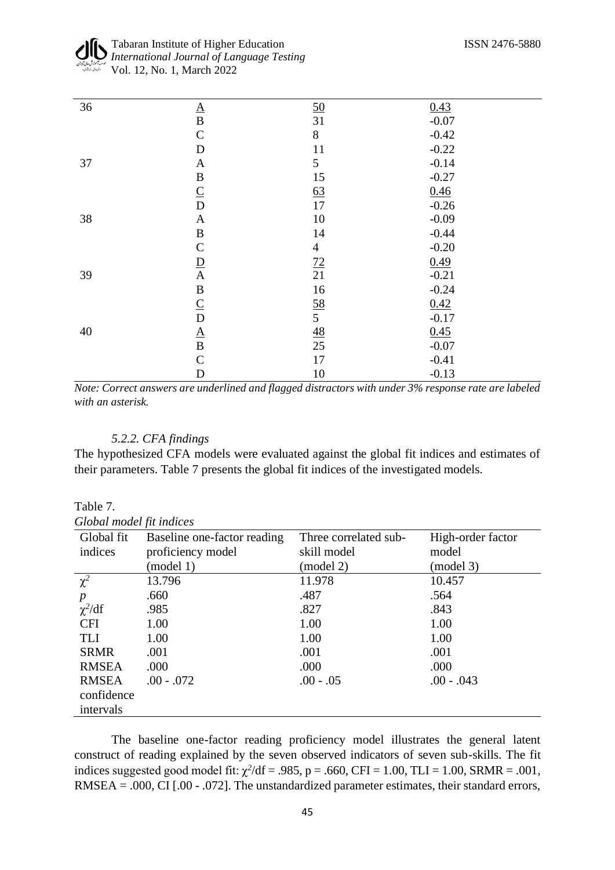| 36 |                                 | <u>50</u>        | 0.43    |  |
|----|---------------------------------|------------------|---------|--|
|    | $\frac{\mathbf{A}}{\mathbf{B}}$ | 31               | $-0.07$ |  |
|    | $\mathbf C$                     | $8\,$            | $-0.42$ |  |
|    | $\mathbf D$                     | 11               | $-0.22$ |  |
| 37 | A                               | 5                | $-0.14$ |  |
|    | $\, {\bf B}$                    | 15               | $-0.27$ |  |
|    | $\underline{C}$                 | 63               | 0.46    |  |
|    | $\overline{D}$                  | 17               | $-0.26$ |  |
| 38 | $\mathbf{A}$                    | 10               | $-0.09$ |  |
|    | $\, {\bf B}$                    | 14               | $-0.44$ |  |
|    | $\mathsf{C}$                    | $\overline{4}$   | $-0.20$ |  |
|    | $\frac{\mathbf{D}}{\mathbf{A}}$ | 72               | 0.49    |  |
| 39 |                                 | 21               | $-0.21$ |  |
|    | $\, {\bf B}$                    | 16               | $-0.24$ |  |
|    | $\underline{C}$                 |                  | 0.42    |  |
|    | $\overline{D}$                  | $\frac{58}{5}$   | $-0.17$ |  |
| 40 | $\frac{\mathbf{A}}{\mathbf{B}}$ | $\underline{48}$ | 0.45    |  |
|    |                                 | 25               | $-0.07$ |  |
|    | $\mathbf C$                     | 17               | $-0.41$ |  |
|    | $\mathbf D$                     | $10\,$           | $-0.13$ |  |

*Note: Correct answers are underlined and flagged distractors with under 3% response rate are labeled with an asterisk.*

# *5.2.2. CFA findings*

Table 7.

The hypothesized CFA models were evaluated against the global fit indices and estimates of their parameters. Table 7 presents the global fit indices of the investigated models.

| Global model fit indices |                             |                       |                   |
|--------------------------|-----------------------------|-----------------------|-------------------|
| Global fit               | Baseline one-factor reading | Three correlated sub- | High-order factor |
| indices                  | proficiency model           | skill model           | model             |
|                          | (model 1)                   | (model 2)             | (model 3)         |
| $\chi^2$                 | 13.796                      | 11.978                | 10.457            |
| $\boldsymbol{p}$         | .660                        | .487                  | .564              |
| $\chi^2/df$              | .985                        | .827                  | .843              |
| <b>CFI</b>               | 1.00                        | 1.00                  | 1.00              |
| <b>TLI</b>               | 1.00                        | 1.00                  | 1.00              |
| <b>SRMR</b>              | .001                        | .001                  | .001              |
| <b>RMSEA</b>             | .000                        | .000                  | .000              |
| <b>RMSEA</b>             | $.00 - .072$                | $.00 - .05$           | $.00 - .043$      |
| confidence               |                             |                       |                   |
| intervals                |                             |                       |                   |

The baseline one-factor reading proficiency model illustrates the general latent construct of reading explained by the seven observed indicators of seven sub-skills. The fit indices suggested good model fit:  $\chi^2$ /df = .985, p = .660, CFI = 1.00, TLI = 1.00, SRMR = .001, RMSEA = .000, CI [.00 - .072]. The unstandardized parameter estimates, their standard errors,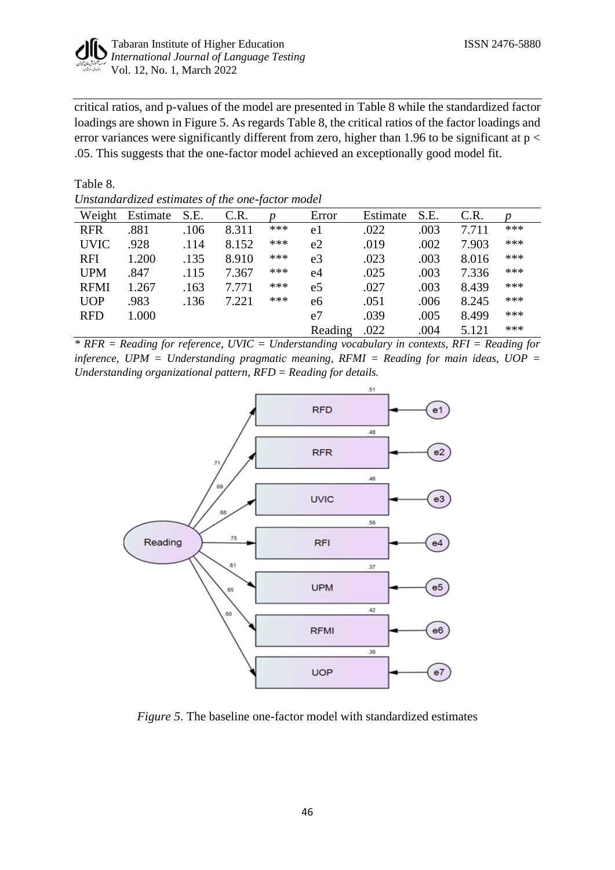

critical ratios, and p-values of the model are presented in Table 8 while the standardized factor loadings are shown in Figure 5. As regards Table 8, the critical ratios of the factor loadings and error variances were significantly different from zero, higher than 1.96 to be significant at  $p <$ .05. This suggests that the one-factor model achieved an exceptionally good model fit.

Table 8.

*Unstandardized estimates of the one-factor model*

|             |          | $\cdot$ | $\cdot$ |     |         |          |      |       |     |
|-------------|----------|---------|---------|-----|---------|----------|------|-------|-----|
| Weight      | Estimate | S.E.    | C.R.    |     | Error   | Estimate | S.E. | C.R.  |     |
| <b>RFR</b>  | .881     | .106    | 8.311   | *** | e1      | .022     | .003 | 7.711 | *** |
| <b>UVIC</b> | .928     | .114    | 8.152   | *** | e2      | .019     | .002 | 7.903 | *** |
| <b>RFI</b>  | 1.200    | .135    | 8.910   | *** | e3      | .023     | .003 | 8.016 | *** |
| <b>UPM</b>  | .847     | .115    | 7.367   | *** | e4      | .025     | .003 | 7.336 | *** |
| <b>RFMI</b> | 1.267    | .163    | 7.771   | *** | e5      | .027     | .003 | 8.439 | *** |
| <b>UOP</b>  | .983     | .136    | 7.221   | *** | e6      | .051     | .006 | 8.245 | *** |
| <b>RFD</b>  | 1.000    |         |         |     | e7      | .039     | .005 | 8.499 | *** |
|             |          |         |         |     | Reading | .022     | .004 | 5.121 | *** |

*\* RFR = Reading for reference, UVIC = Understanding vocabulary in contexts, RFI = Reading for inference, UPM = Understanding pragmatic meaning, RFMI = Reading for main ideas, UOP = Understanding organizational pattern, RFD = Reading for details.*



*Figure 5*. The baseline one-factor model with standardized estimates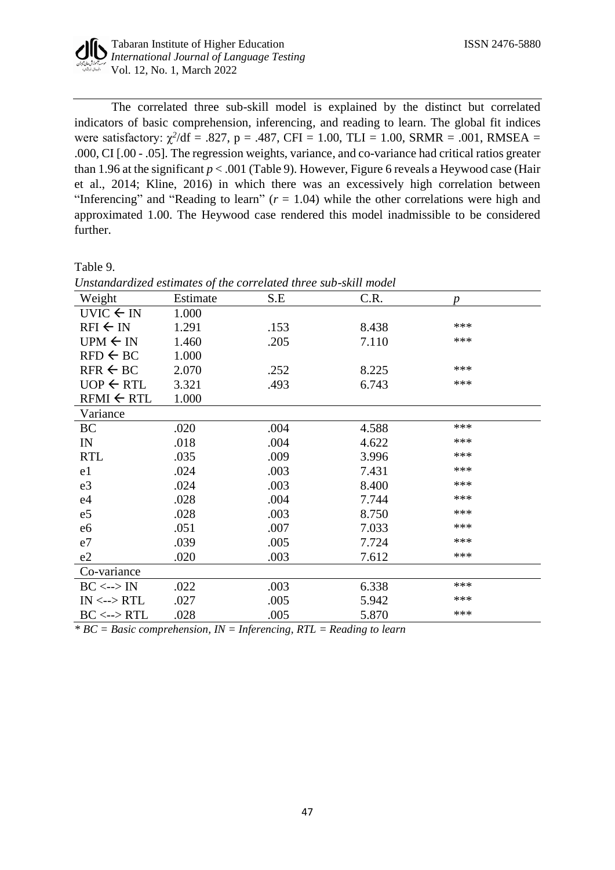

The correlated three sub-skill model is explained by the distinct but correlated indicators of basic comprehension, inferencing, and reading to learn. The global fit indices were satisfactory:  $\chi^2$ /df = .827, p = .487, CFI = 1.00, TLI = 1.00, SRMR = .001, RMSEA = .000, CI [.00 - .05]. The regression weights, variance, and co-variance had critical ratios greater than 1.96 at the significant  $p < .001$  (Table 9). However, Figure 6 reveals a Heywood case (Hair et al., 2014; Kline, 2016) in which there was an excessively high correlation between "Inferencing" and "Reading to learn" (*r* = 1.04) while the other correlations were high and approximated 1.00. The Heywood case rendered this model inadmissible to be considered further.

Table 9.

| Onsianaaraizea esiimales of ine correlatea inree sub-skill model |          |      |       |     |  |
|------------------------------------------------------------------|----------|------|-------|-----|--|
| Weight                                                           | Estimate | S.E  | C.R.  | D   |  |
| UVIC $\leftarrow$ IN                                             | 1.000    |      |       |     |  |
| $RFI \leftarrow IN$                                              | 1.291    | .153 | 8.438 | *** |  |
| $UPM \leftarrow IN$                                              | 1.460    | .205 | 7.110 | *** |  |
| $RFD \leftarrow BC$                                              | 1.000    |      |       |     |  |
| $RFR \leftarrow BC$                                              | 2.070    | .252 | 8.225 | *** |  |
| $UOP \leftarrow RTL$                                             | 3.321    | .493 | 6.743 | *** |  |
| $RFMI \leftarrow RTL$                                            | 1.000    |      |       |     |  |
| Variance                                                         |          |      |       |     |  |
| <b>BC</b>                                                        | .020     | .004 | 4.588 | *** |  |
| IN                                                               | .018     | .004 | 4.622 | *** |  |
| <b>RTL</b>                                                       | .035     | .009 | 3.996 | *** |  |
| e1                                                               | .024     | .003 | 7.431 | *** |  |
| e <sub>3</sub>                                                   | .024     | .003 | 8.400 | *** |  |
| e4                                                               | .028     | .004 | 7.744 | *** |  |
| e5                                                               | .028     | .003 | 8.750 | *** |  |
| e6                                                               | .051     | .007 | 7.033 | *** |  |
| e7                                                               | .039     | .005 | 7.724 | *** |  |
| e2                                                               | .020     | .003 | 7.612 | *** |  |
| Co-variance                                                      |          |      |       |     |  |
| $BC \leftarrow > IN$                                             | .022     | .003 | 6.338 | *** |  |
| $IN \leftarrow > RTL$                                            | .027     | .005 | 5.942 | *** |  |
| $BC \leftarrow > RTL$                                            | .028     | .005 | 5.870 | *** |  |

*Unstandardized estimates of the correlated three sub-skill model*

*\* BC = Basic comprehension, IN = Inferencing, RTL = Reading to learn*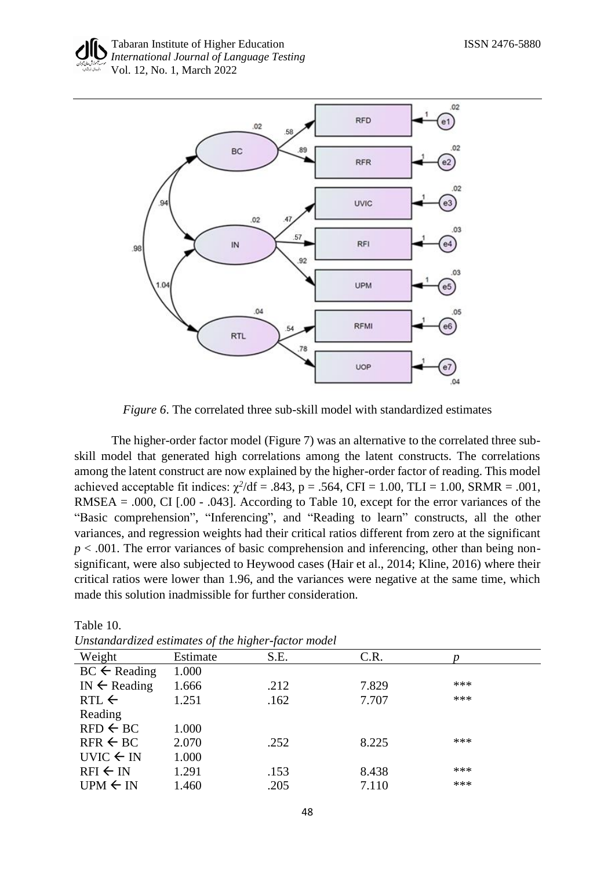

*Figure 6*. The correlated three sub-skill model with standardized estimates

The higher-order factor model (Figure 7) was an alternative to the correlated three subskill model that generated high correlations among the latent constructs. The correlations among the latent construct are now explained by the higher-order factor of reading. This model achieved acceptable fit indices:  $\chi^2$ /df = .843, p = .564, CFI = 1.00, TLI = 1.00, SRMR = .001, RMSEA = .000, CI  $[.00 - .043]$ . According to Table 10, except for the error variances of the "Basic comprehension", "Inferencing", and "Reading to learn" constructs, all the other variances, and regression weights had their critical ratios different from zero at the significant  $p < .001$ . The error variances of basic comprehension and inferencing, other than being nonsignificant, were also subjected to Heywood cases (Hair et al., 2014; Kline, 2016) where their critical ratios were lower than 1.96, and the variances were negative at the same time, which made this solution inadmissible for further consideration.

| Unstandardized estimates of the higher-factor model |          |      |       |       |  |
|-----------------------------------------------------|----------|------|-------|-------|--|
| Weight                                              | Estimate | S.E. | C.R.  |       |  |
| $BC \leftarrow$ Reading                             | 1.000    |      |       |       |  |
| IN $\leftarrow$ Reading                             | 1.666    | .212 | 7.829 | ***   |  |
| $RTL \leftarrow$                                    | 1.251    | .162 | 7.707 | $***$ |  |
| Reading                                             |          |      |       |       |  |
| $RFD \leftarrow BC$                                 | 1.000    |      |       |       |  |
| $RFR \leftarrow BC$                                 | 2.070    | .252 | 8.225 | ***   |  |
| UVIC $\leftarrow$ IN                                | 1.000    |      |       |       |  |
| $RFI \leftarrow IN$                                 | 1.291    | .153 | 8.438 | ***   |  |
| $UPM \leftarrow IN$                                 | 1.460    | .205 | 7.110 | $***$ |  |

Table 10.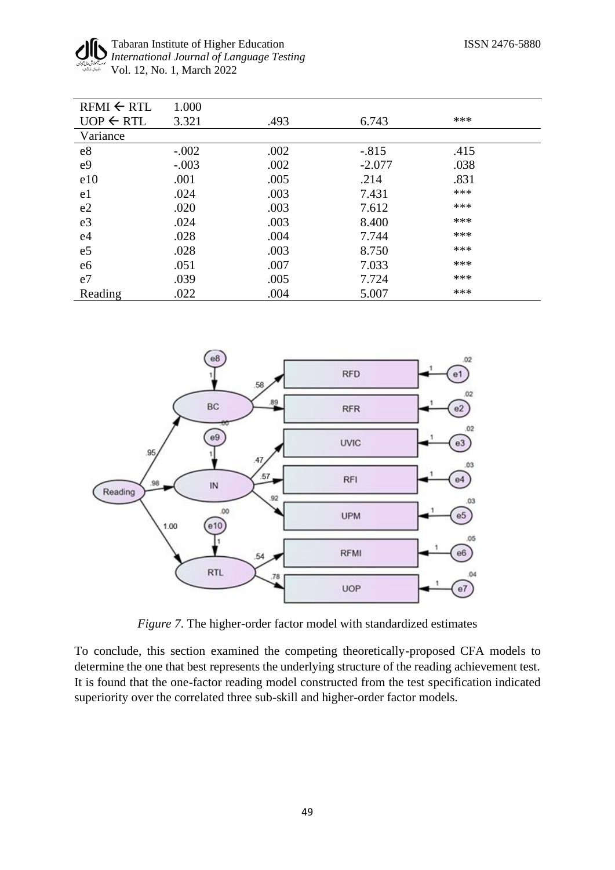#### Tabaran Institute of Higher Education ISSN 2476-5880 *International Journal of Language Testing* Vol. 12, No. 1, March 2022

| $RFMI \leftarrow RTL$ | 1.000   |      |          |      |  |
|-----------------------|---------|------|----------|------|--|
| $UOP \leftarrow RTL$  | 3.321   | .493 | 6.743    | ***  |  |
| Variance              |         |      |          |      |  |
| e8                    | $-.002$ | .002 | $-.815$  | .415 |  |
| e <sub>9</sub>        | $-.003$ | .002 | $-2.077$ | .038 |  |
| e10                   | .001    | .005 | .214     | .831 |  |
| e1                    | .024    | .003 | 7.431    | ***  |  |
| e2                    | .020    | .003 | 7.612    | ***  |  |
| e <sub>3</sub>        | .024    | .003 | 8.400    | ***  |  |
| e4                    | .028    | .004 | 7.744    | ***  |  |
| e <sub>5</sub>        | .028    | .003 | 8.750    | ***  |  |
| e <sub>6</sub>        | .051    | .007 | 7.033    | ***  |  |
| e7                    | .039    | .005 | 7.724    | ***  |  |
| Reading               | .022    | .004 | 5.007    | ***  |  |



*Figure 7*. The higher-order factor model with standardized estimates

To conclude, this section examined the competing theoretically-proposed CFA models to determine the one that best represents the underlying structure of the reading achievement test. It is found that the one-factor reading model constructed from the test specification indicated superiority over the correlated three sub-skill and higher-order factor models.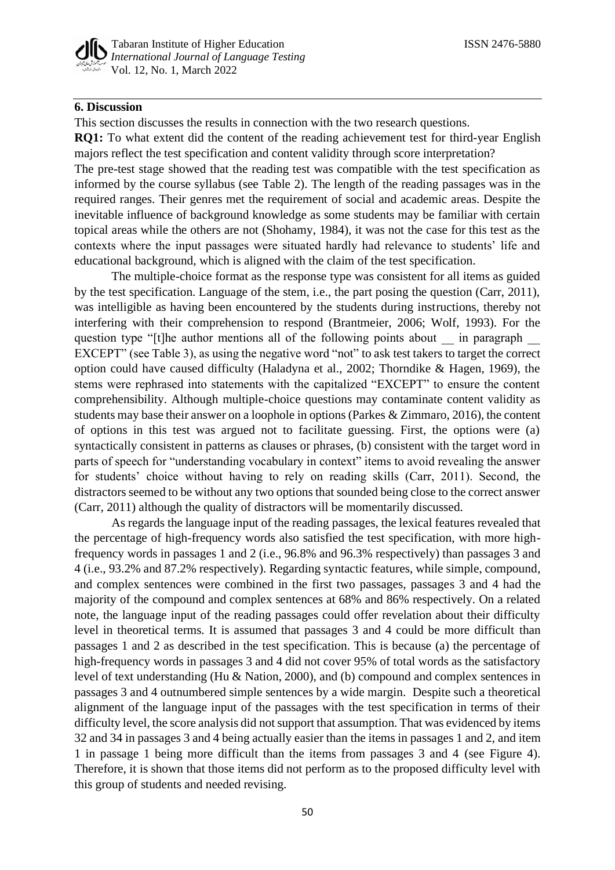# **6. Discussion**

This section discusses the results in connection with the two research questions.

**RQ1:** To what extent did the content of the reading achievement test for third-year English majors reflect the test specification and content validity through score interpretation?

The pre-test stage showed that the reading test was compatible with the test specification as informed by the course syllabus (see Table 2). The length of the reading passages was in the required ranges. Their genres met the requirement of social and academic areas. Despite the inevitable influence of background knowledge as some students may be familiar with certain topical areas while the others are not (Shohamy, 1984), it was not the case for this test as the contexts where the input passages were situated hardly had relevance to students' life and educational background, which is aligned with the claim of the test specification.

The multiple-choice format as the response type was consistent for all items as guided by the test specification. Language of the stem, i.e., the part posing the question (Carr, 2011), was intelligible as having been encountered by the students during instructions, thereby not interfering with their comprehension to respond (Brantmeier, 2006; Wolf, 1993). For the question type "[t]he author mentions all of the following points about \_\_\_ in paragraph EXCEPT" (see Table 3), as using the negative word "not" to ask test takers to target the correct option could have caused difficulty (Haladyna et al., 2002; Thorndike & Hagen, 1969), the stems were rephrased into statements with the capitalized "EXCEPT" to ensure the content comprehensibility. Although multiple-choice questions may contaminate content validity as students may base their answer on a loophole in options (Parkes & Zimmaro, 2016), the content of options in this test was argued not to facilitate guessing. First, the options were (a) syntactically consistent in patterns as clauses or phrases, (b) consistent with the target word in parts of speech for "understanding vocabulary in context" items to avoid revealing the answer for students' choice without having to rely on reading skills (Carr, 2011). Second, the distractors seemed to be without any two options that sounded being close to the correct answer (Carr, 2011) although the quality of distractors will be momentarily discussed.

As regards the language input of the reading passages, the lexical features revealed that the percentage of high-frequency words also satisfied the test specification, with more highfrequency words in passages 1 and 2 (i.e., 96.8% and 96.3% respectively) than passages 3 and 4 (i.e., 93.2% and 87.2% respectively). Regarding syntactic features, while simple, compound, and complex sentences were combined in the first two passages, passages 3 and 4 had the majority of the compound and complex sentences at 68% and 86% respectively. On a related note, the language input of the reading passages could offer revelation about their difficulty level in theoretical terms. It is assumed that passages 3 and 4 could be more difficult than passages 1 and 2 as described in the test specification. This is because (a) the percentage of high-frequency words in passages 3 and 4 did not cover 95% of total words as the satisfactory level of text understanding (Hu & Nation, 2000), and (b) compound and complex sentences in passages 3 and 4 outnumbered simple sentences by a wide margin. Despite such a theoretical alignment of the language input of the passages with the test specification in terms of their difficulty level, the score analysis did not support that assumption. That was evidenced by items 32 and 34 in passages 3 and 4 being actually easier than the items in passages 1 and 2, and item 1 in passage 1 being more difficult than the items from passages 3 and 4 (see Figure 4). Therefore, it is shown that those items did not perform as to the proposed difficulty level with this group of students and needed revising.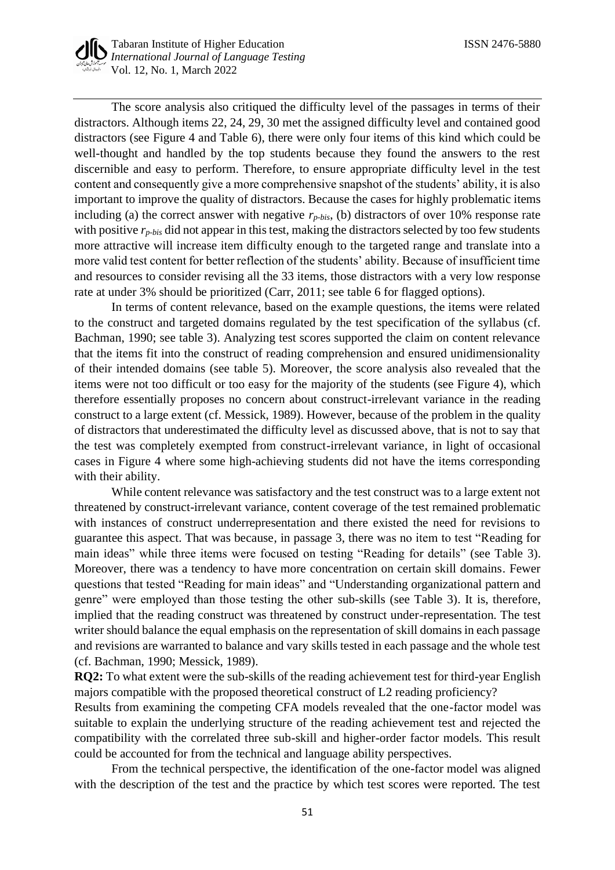The score analysis also critiqued the difficulty level of the passages in terms of their distractors. Although items 22, 24, 29, 30 met the assigned difficulty level and contained good distractors (see Figure 4 and Table 6), there were only four items of this kind which could be well-thought and handled by the top students because they found the answers to the rest discernible and easy to perform. Therefore, to ensure appropriate difficulty level in the test content and consequently give a more comprehensive snapshot of the students' ability, it is also important to improve the quality of distractors. Because the cases for highly problematic items including (a) the correct answer with negative  $r_{p-bis}$ , (b) distractors of over 10% response rate with positive *rp-bis* did not appear in this test, making the distractors selected by too few students more attractive will increase item difficulty enough to the targeted range and translate into a more valid test content for better reflection of the students' ability. Because of insufficient time and resources to consider revising all the 33 items, those distractors with a very low response rate at under 3% should be prioritized (Carr, 2011; see table 6 for flagged options).

In terms of content relevance, based on the example questions, the items were related to the construct and targeted domains regulated by the test specification of the syllabus (cf. Bachman, 1990; see table 3). Analyzing test scores supported the claim on content relevance that the items fit into the construct of reading comprehension and ensured unidimensionality of their intended domains (see table 5). Moreover, the score analysis also revealed that the items were not too difficult or too easy for the majority of the students (see Figure 4), which therefore essentially proposes no concern about construct-irrelevant variance in the reading construct to a large extent (cf. Messick, 1989). However, because of the problem in the quality of distractors that underestimated the difficulty level as discussed above, that is not to say that the test was completely exempted from construct-irrelevant variance, in light of occasional cases in Figure 4 where some high-achieving students did not have the items corresponding with their ability.

While content relevance was satisfactory and the test construct was to a large extent not threatened by construct-irrelevant variance, content coverage of the test remained problematic with instances of construct underrepresentation and there existed the need for revisions to guarantee this aspect. That was because, in passage 3, there was no item to test "Reading for main ideas" while three items were focused on testing "Reading for details" (see Table 3). Moreover, there was a tendency to have more concentration on certain skill domains. Fewer questions that tested "Reading for main ideas" and "Understanding organizational pattern and genre" were employed than those testing the other sub-skills (see Table 3). It is, therefore, implied that the reading construct was threatened by construct under-representation. The test writer should balance the equal emphasis on the representation of skill domains in each passage and revisions are warranted to balance and vary skills tested in each passage and the whole test (cf. Bachman, 1990; Messick, 1989).

**RQ2:** To what extent were the sub-skills of the reading achievement test for third-year English majors compatible with the proposed theoretical construct of L2 reading proficiency? Results from examining the competing CFA models revealed that the one-factor model was suitable to explain the underlying structure of the reading achievement test and rejected the compatibility with the correlated three sub-skill and higher-order factor models. This result could be accounted for from the technical and language ability perspectives.

From the technical perspective, the identification of the one-factor model was aligned with the description of the test and the practice by which test scores were reported. The test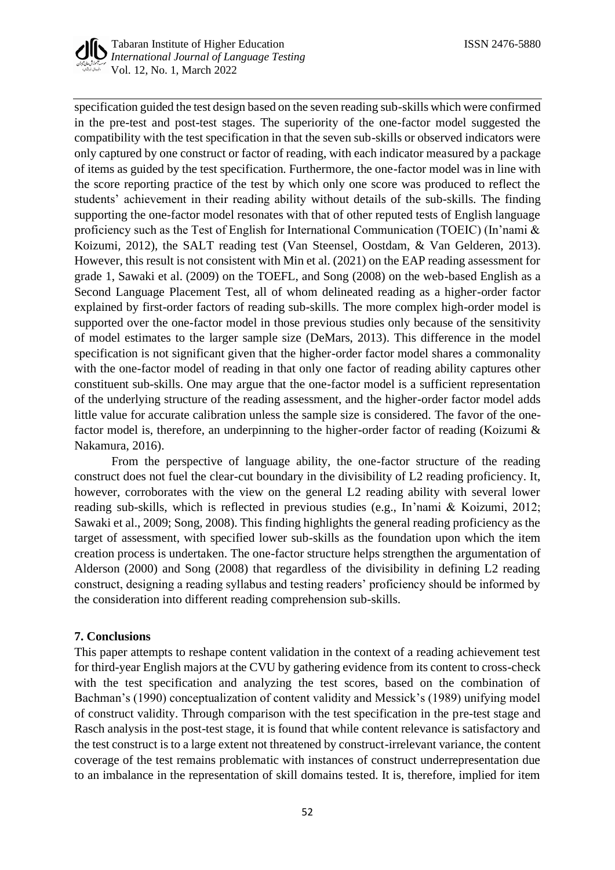

specification guided the test design based on the seven reading sub-skills which were confirmed in the pre-test and post-test stages. The superiority of the one-factor model suggested the compatibility with the test specification in that the seven sub-skills or observed indicators were only captured by one construct or factor of reading, with each indicator measured by a package of items as guided by the test specification. Furthermore, the one-factor model was in line with the score reporting practice of the test by which only one score was produced to reflect the students' achievement in their reading ability without details of the sub-skills. The finding supporting the one-factor model resonates with that of other reputed tests of English language proficiency such as the Test of English for International Communication (TOEIC) (In'nami & Koizumi, 2012), the SALT reading test (Van Steensel, Oostdam, & Van Gelderen, 2013). However, this result is not consistent with Min et al. (2021) on the EAP reading assessment for grade 1, Sawaki et al. (2009) on the TOEFL, and Song (2008) on the web-based English as a Second Language Placement Test, all of whom delineated reading as a higher-order factor explained by first-order factors of reading sub-skills. The more complex high-order model is supported over the one-factor model in those previous studies only because of the sensitivity of model estimates to the larger sample size (DeMars, 2013). This difference in the model specification is not significant given that the higher-order factor model shares a commonality with the one-factor model of reading in that only one factor of reading ability captures other constituent sub-skills. One may argue that the one-factor model is a sufficient representation of the underlying structure of the reading assessment, and the higher-order factor model adds little value for accurate calibration unless the sample size is considered. The favor of the onefactor model is, therefore, an underpinning to the higher-order factor of reading (Koizumi & Nakamura, 2016).

From the perspective of language ability, the one-factor structure of the reading construct does not fuel the clear-cut boundary in the divisibility of L2 reading proficiency. It, however, corroborates with the view on the general L2 reading ability with several lower reading sub-skills, which is reflected in previous studies (e.g., In'nami & Koizumi, 2012; Sawaki et al., 2009; Song, 2008). This finding highlights the general reading proficiency as the target of assessment, with specified lower sub-skills as the foundation upon which the item creation process is undertaken. The one-factor structure helps strengthen the argumentation of Alderson (2000) and Song (2008) that regardless of the divisibility in defining L2 reading construct, designing a reading syllabus and testing readers' proficiency should be informed by the consideration into different reading comprehension sub-skills.

# **7. Conclusions**

This paper attempts to reshape content validation in the context of a reading achievement test for third-year English majors at the CVU by gathering evidence from its content to cross-check with the test specification and analyzing the test scores, based on the combination of Bachman's (1990) conceptualization of content validity and Messick's (1989) unifying model of construct validity. Through comparison with the test specification in the pre-test stage and Rasch analysis in the post-test stage, it is found that while content relevance is satisfactory and the test construct is to a large extent not threatened by construct-irrelevant variance, the content coverage of the test remains problematic with instances of construct underrepresentation due to an imbalance in the representation of skill domains tested. It is, therefore, implied for item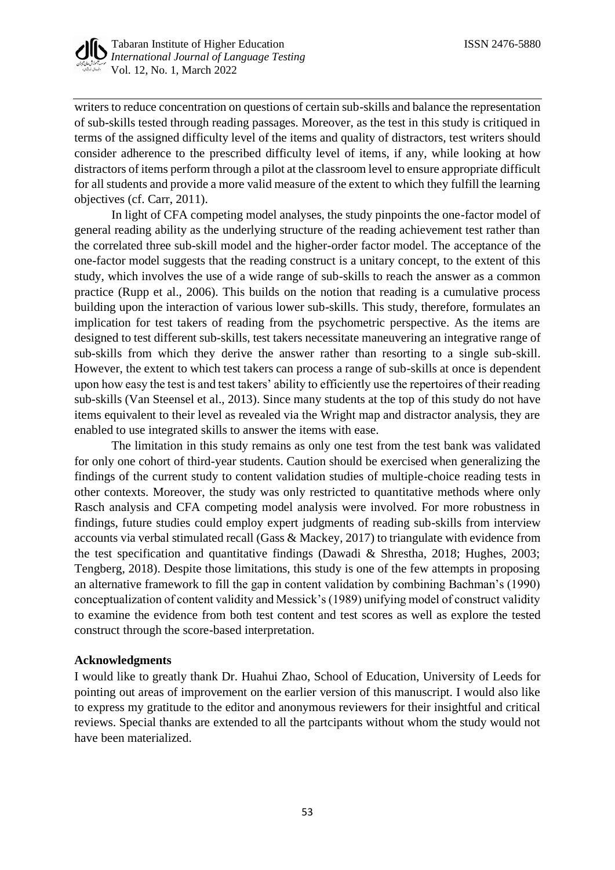

writers to reduce concentration on questions of certain sub-skills and balance the representation of sub-skills tested through reading passages. Moreover, as the test in this study is critiqued in terms of the assigned difficulty level of the items and quality of distractors, test writers should consider adherence to the prescribed difficulty level of items, if any, while looking at how distractors of items perform through a pilot at the classroom level to ensure appropriate difficult for all students and provide a more valid measure of the extent to which they fulfill the learning objectives (cf. Carr, 2011).

In light of CFA competing model analyses, the study pinpoints the one-factor model of general reading ability as the underlying structure of the reading achievement test rather than the correlated three sub-skill model and the higher-order factor model. The acceptance of the one-factor model suggests that the reading construct is a unitary concept, to the extent of this study, which involves the use of a wide range of sub-skills to reach the answer as a common practice (Rupp et al., 2006). This builds on the notion that reading is a cumulative process building upon the interaction of various lower sub-skills. This study, therefore, formulates an implication for test takers of reading from the psychometric perspective. As the items are designed to test different sub-skills, test takers necessitate maneuvering an integrative range of sub-skills from which they derive the answer rather than resorting to a single sub-skill. However, the extent to which test takers can process a range of sub-skills at once is dependent upon how easy the test is and test takers' ability to efficiently use the repertoires of their reading sub-skills (Van Steensel et al., 2013). Since many students at the top of this study do not have items equivalent to their level as revealed via the Wright map and distractor analysis, they are enabled to use integrated skills to answer the items with ease.

The limitation in this study remains as only one test from the test bank was validated for only one cohort of third-year students. Caution should be exercised when generalizing the findings of the current study to content validation studies of multiple-choice reading tests in other contexts. Moreover, the study was only restricted to quantitative methods where only Rasch analysis and CFA competing model analysis were involved. For more robustness in findings, future studies could employ expert judgments of reading sub-skills from interview accounts via verbal stimulated recall (Gass & Mackey, 2017) to triangulate with evidence from the test specification and quantitative findings (Dawadi & Shrestha, 2018; Hughes, 2003; Tengberg, 2018). Despite those limitations, this study is one of the few attempts in proposing an alternative framework to fill the gap in content validation by combining Bachman's (1990) conceptualization of content validity and Messick's (1989) unifying model of construct validity to examine the evidence from both test content and test scores as well as explore the tested construct through the score-based interpretation.

# **Acknowledgments**

I would like to greatly thank Dr. Huahui Zhao, School of Education, University of Leeds for pointing out areas of improvement on the earlier version of this manuscript. I would also like to express my gratitude to the editor and anonymous reviewers for their insightful and critical reviews. Special thanks are extended to all the partcipants without whom the study would not have been materialized.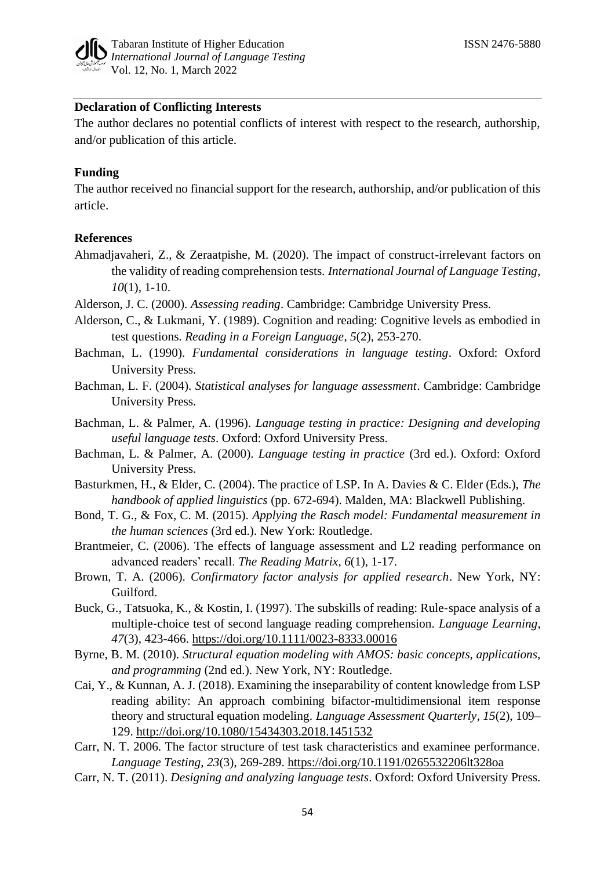

# **Declaration of Conflicting Interests**

The author declares no potential conflicts of interest with respect to the research, authorship, and/or publication of this article.

#### **Funding**

The author received no financial support for the research, authorship, and/or publication of this article.

#### **References**

- Ahmadjavaheri, Z., & Zeraatpishe, M. (2020). The impact of construct-irrelevant factors on the validity of reading comprehension tests. *International Journal of Language Testing*, *10*(1), 1-10.
- Alderson, J. C. (2000). *Assessing reading*. Cambridge: Cambridge University Press.
- Alderson, C., & Lukmani, Y. (1989). Cognition and reading: Cognitive levels as embodied in test questions. *Reading in a Foreign Language*, *5*(2), 253-270.
- Bachman, L. (1990). *Fundamental considerations in language testing*. Oxford: Oxford University Press.
- Bachman, L. F. (2004). *Statistical analyses for language assessment*. Cambridge: Cambridge University Press.
- Bachman, L. & Palmer, A. (1996). *Language testing in practice: Designing and developing useful language tests*. Oxford: Oxford University Press.
- Bachman, L. & Palmer, A. (2000). *Language testing in practice* (3rd ed.). Oxford: Oxford University Press.
- Basturkmen, H., & Elder, C. (2004). The practice of LSP. In A. Davies & C. Elder (Eds.), *The handbook of applied linguistics* (pp. 672-694). Malden, MA: Blackwell Publishing.
- Bond, T. G., & Fox, C. M. (2015). *Applying the Rasch model: Fundamental measurement in the human sciences* (3rd ed.). New York: Routledge.
- Brantmeier, C. (2006). The effects of language assessment and L2 reading performance on advanced readers' recall. *The Reading Matrix*, *6*(1), 1-17.
- Brown, T. A. (2006). *Confirmatory factor analysis for applied research*. New York, NY: Guilford.
- Buck, G., Tatsuoka, K., & Kostin, I. (1997). The subskills of reading: Rule‐space analysis of a multiple‐choice test of second language reading comprehension. *Language Learning*, *47*(3), 423-466.<https://doi.org/10.1111/0023-8333.00016>
- Byrne, B. M. (2010). *Structural equation modeling with AMOS: basic concepts, applications, and programming* (2nd ed.). New York, NY: Routledge.
- Cai, Y., & Kunnan, A. J. (2018). Examining the inseparability of content knowledge from LSP reading ability: An approach combining bifactor-multidimensional item response theory and structural equation modeling. *Language Assessment Quarterly*, *15*(2), 109– 129.<http://doi.org/10.1080/15434303.2018.1451532>
- Carr, N. T. 2006. The factor structure of test task characteristics and examinee performance. *Language Testing*, *23*(3), 269-289. [https://doi.org/10.1191/0265532206lt328oa](https://doi.org/10.1191%2F0265532206lt328oa)
- Carr, N. T. (2011). *Designing and analyzing language tests*. Oxford: Oxford University Press.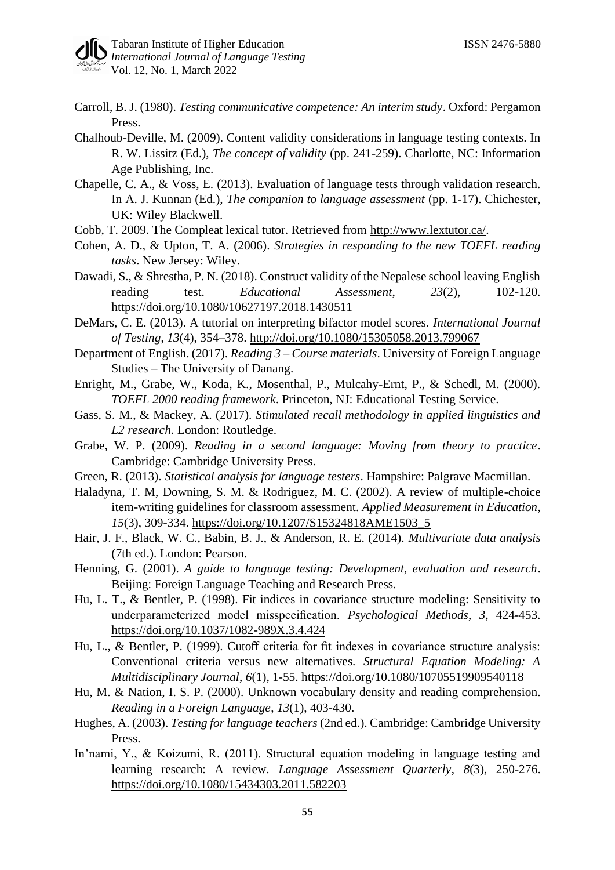- Carroll, B. J. (1980). *Testing communicative competence: An interim study*. Oxford: Pergamon Press.
- Chalhoub-Deville, M. (2009). Content validity considerations in language testing contexts. In R. W. Lissitz (Ed.), *The concept of validity* (pp. 241-259). Charlotte, NC: Information Age Publishing, Inc.
- Chapelle, C. A., & Voss, E. (2013). Evaluation of language tests through validation research. In A. J. Kunnan (Ed.), *The companion to language assessment* (pp. 1-17). Chichester, UK: Wiley Blackwell.
- Cobb, T. 2009. The Compleat lexical tutor. Retrieved from [http://www.lextutor.ca/.](http://www.lextutor.ca/)
- Cohen, A. D., & Upton, T. A. (2006). *Strategies in responding to the new TOEFL reading tasks*. New Jersey: Wiley.
- Dawadi, S., & Shrestha, P. N. (2018). Construct validity of the Nepalese school leaving English reading test. *Educational Assessment*, *23*(2), 102-120. [https://doi.org/10.1080/10627197.2018.1430511](https://psycnet.apa.org/doi/10.1080/10627197.2018.1430511)
- DeMars, C. E. (2013). A tutorial on interpreting bifactor model scores. *International Journal of Testing*, *13*(4), 354–378.<http://doi.org/10.1080/15305058.2013.799067>
- Department of English. (2017). *Reading 3 – Course materials*. University of Foreign Language Studies – The University of Danang.
- Enright, M., Grabe, W., Koda, K., Mosenthal, P., Mulcahy-Ernt, P., & Schedl, M. (2000). *TOEFL 2000 reading framework*. Princeton, NJ: Educational Testing Service.
- Gass, S. M., & Mackey, A. (2017). *Stimulated recall methodology in applied linguistics and L2 research*. London: Routledge.
- Grabe, W. P. (2009). *Reading in a second language: Moving from theory to practice*. Cambridge: Cambridge University Press.
- Green, R. (2013). *Statistical analysis for language testers*. Hampshire: Palgrave Macmillan.
- Haladyna, T. M, Downing, S. M. & Rodriguez, M. C. (2002). A review of multiple-choice item-writing guidelines for classroom assessment. *Applied Measurement in Education*, *15*(3), 309-334. [https://doi.org/10.1207/S15324818AME1503\\_5](https://doi.org/10.1207/S15324818AME1503_5)
- Hair, J. F., Black, W. C., Babin, B. J., & Anderson, R. E. (2014). *Multivariate data analysis*  (7th ed.). London: Pearson.
- Henning, G. (2001). *A guide to language testing: Development, evaluation and research*. Beijing: Foreign Language Teaching and Research Press.
- Hu, L. T., & Bentler, P. (1998). Fit indices in covariance structure modeling: Sensitivity to underparameterized model misspecification. *Psychological Methods*, *3*, 424-453. [https://doi.org/10.1037/1082-989X.3.4.424](https://psycnet.apa.org/doi/10.1037/1082-989X.3.4.424)
- Hu, L., & Bentler, P. (1999). Cutoff criteria for fit indexes in covariance structure analysis: Conventional criteria versus new alternatives. *Structural Equation Modeling: A Multidisciplinary Journal*, *6*(1), 1-55.<https://doi.org/10.1080/10705519909540118>
- Hu, M. & Nation, I. S. P. (2000). Unknown vocabulary density and reading comprehension. *Reading in a Foreign Language*, *13*(1), 403-430.
- Hughes, A. (2003). *Testing for language teachers* (2nd ed.). Cambridge: Cambridge University Press.
- In'nami, Y., & Koizumi, R. (2011). Structural equation modeling in language testing and learning research: A review. *Language Assessment Quarterly*, *8*(3), 250-276. <https://doi.org/10.1080/15434303.2011.582203>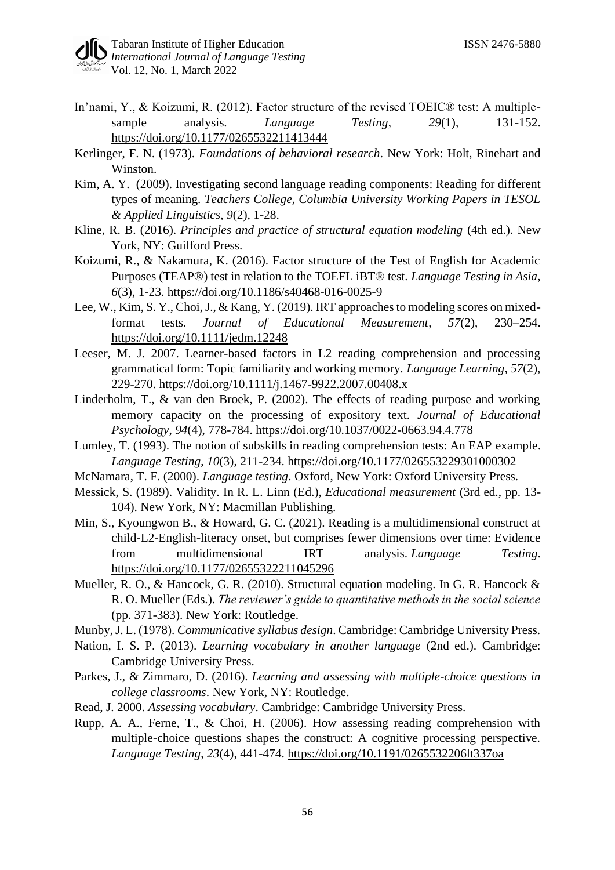- In'nami, Y., & Koizumi, R. (2012). Factor structure of the revised TOEIC® test: A multiplesample analysis. *Language Testing*, *29*(1), 131-152. [https://doi.org/10.1177/0265532211413444](https://doi.org/10.1177%2F0265532211413444)
- Kerlinger, F. N. (1973). *Foundations of behavioral research*. New York: Holt, Rinehart and Winston.
- Kim, A. Y. (2009). Investigating second language reading components: Reading for different types of meaning. *Teachers College, Columbia University Working Papers in TESOL & Applied Linguistics*, *9*(2), 1-28.
- Kline, R. B. (2016). *Principles and practice of structural equation modeling* (4th ed.). New York, NY: Guilford Press.
- Koizumi, R., & Nakamura, K. (2016). Factor structure of the Test of English for Academic Purposes (TEAP®) test in relation to the TOEFL iBT® test. *Language Testing in Asia*, *6*(3), 1-23.<https://doi.org/10.1186/s40468-016-0025-9>
- Lee, W., Kim, S. Y., Choi, J., & Kang, Y. (2019). IRT approaches to modeling scores on mixedformat tests. *Journal of Educational Measurement*, *57*(2), 230–254. <https://doi.org/10.1111/jedm.12248>
- Leeser, M. J. 2007. Learner-based factors in L2 reading comprehension and processing grammatical form: Topic familiarity and working memory. *Language Learning*, *57*(2), 229-270.<https://doi.org/10.1111/j.1467-9922.2007.00408.x>
- Linderholm, T., & van den Broek, P. (2002). The effects of reading purpose and working memory capacity on the processing of expository text. *Journal of Educational Psychology*, *94*(4), 778-784. [https://doi.org/10.1037/0022-0663.94.4.778](https://psycnet.apa.org/doi/10.1037/0022-0663.94.4.778)
- Lumley, T. (1993). The notion of subskills in reading comprehension tests: An EAP example. *Language Testing*, *10*(3), 211-234. [https://doi.org/10.1177/026553229301000302](https://doi.org/10.1177%2F026553229301000302)
- McNamara, T. F. (2000). *Language testing*. Oxford, New York: Oxford University Press.
- Messick, S. (1989). Validity. In R. L. Linn (Ed.), *Educational measurement* (3rd ed., pp. 13- 104). New York, NY: Macmillan Publishing.
- Min, S., Kyoungwon B., & Howard, G. C. (2021). Reading is a multidimensional construct at child-L2-English-literacy onset, but comprises fewer dimensions over time: Evidence from multidimensional IRT analysis. *Language Testing*. <https://doi.org/10.1177/02655322211045296>
- Mueller, R. O., & Hancock, G. R. (2010). Structural equation modeling. In G. R. Hancock & R. O. Mueller (Eds.). *The reviewer's guide to quantitative methods in the social science* (pp. 371-383). New York: Routledge.
- Munby, J. L. (1978). *Communicative syllabus design*. Cambridge: Cambridge University Press.
- Nation, I. S. P. (2013). *Learning vocabulary in another language* (2nd ed.). Cambridge: Cambridge University Press.
- Parkes, J., & Zimmaro, D. (2016). *Learning and assessing with multiple-choice questions in college classrooms*. New York, NY: Routledge.
- Read, J. 2000. *Assessing vocabulary*. Cambridge: Cambridge University Press.
- Rupp, A. A., Ferne, T., & Choi, H. (2006). How assessing reading comprehension with multiple-choice questions shapes the construct: A cognitive processing perspective. *Language Testing*, *23*(4), 441-474. [https://doi.org/10.1191/0265532206lt337oa](https://psycnet.apa.org/doi/10.1191/0265532206lt337oa)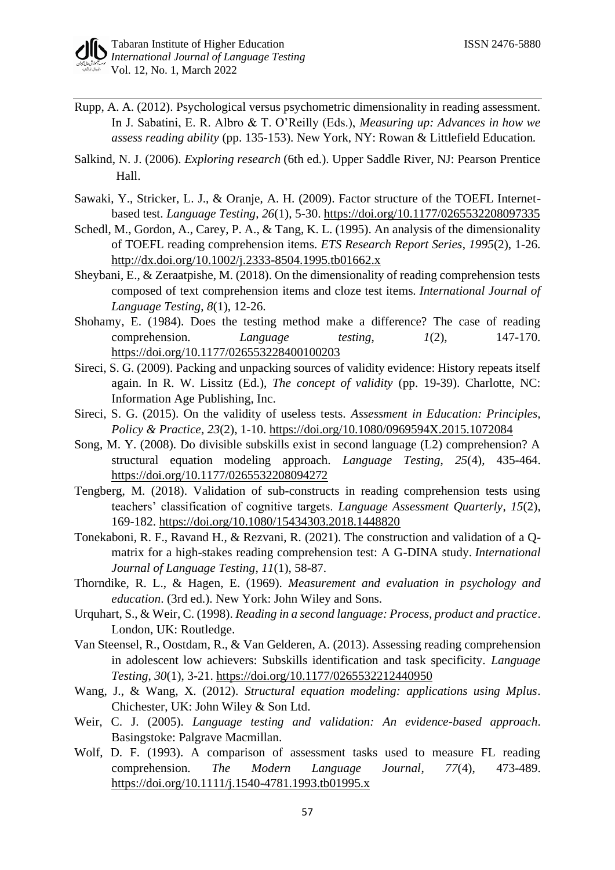- Rupp, A. A. (2012). Psychological versus psychometric dimensionality in reading assessment. In J. Sabatini, E. R. Albro & T. O'Reilly (Eds.), *Measuring up: Advances in how we assess reading ability* (pp. 135-153). New York, NY: Rowan & Littlefield Education.
- Salkind, N. J. (2006). *Exploring research* (6th ed.). Upper Saddle River, NJ: Pearson Prentice Hall.
- Sawaki, Y., Stricker, L. J., & Oranje, A. H. (2009). Factor structure of the TOEFL Internetbased test. *Language Testing*, *26*(1), 5-30. [https://doi.org/10.1177/0265532208097335](https://psycnet.apa.org/doi/10.1177/0265532208097335)
- Schedl, M., Gordon, A., Carey, P. A., & Tang, K. L. (1995). An analysis of the dimensionality of TOEFL reading comprehension items. *ETS Research Report Series*, *1995*(2), 1-26. <http://dx.doi.org/10.1002/j.2333-8504.1995.tb01662.x>
- Sheybani, E., & Zeraatpishe, M. (2018). On the dimensionality of reading comprehension tests composed of text comprehension items and cloze test items. *International Journal of Language Testing*, *8*(1), 12-26.
- Shohamy, E. (1984). Does the testing method make a difference? The case of reading comprehension. *Language testing*, *1*(2), 147-170. [https://doi.org/10.1177/026553228400100203](https://doi.org/10.1177%2F026553228400100203)
- Sireci, S. G. (2009). Packing and unpacking sources of validity evidence: History repeats itself again. In R. W. Lissitz (Ed.), *The concept of validity* (pp. 19-39). Charlotte, NC: Information Age Publishing, Inc.
- Sireci, S. G. (2015). On the validity of useless tests. *Assessment in Education: Principles, Policy & Practice*, *23*(2), 1-10.<https://doi.org/10.1080/0969594X.2015.1072084>
- Song, M. Y. (2008). Do divisible subskills exist in second language (L2) comprehension? A structural equation modeling approach. *Language Testing*, *25*(4), 435-464. [https://doi.org/10.1177/0265532208094272](https://doi.org/10.1177%2F0265532208094272)
- Tengberg, M. (2018). Validation of sub-constructs in reading comprehension tests using teachers' classification of cognitive targets. *Language Assessment Quarterly*, *15*(2), 169-182.<https://doi.org/10.1080/15434303.2018.1448820>
- Tonekaboni, R. F., Ravand H., & Rezvani, R. (2021). The construction and validation of a Qmatrix for a high-stakes reading comprehension test: A G-DINA study. *International Journal of Language Testing*, *11*(1), 58-87.
- Thorndike, R. L., & Hagen, E. (1969). *Measurement and evaluation in psychology and education*. (3rd ed.). New York: John Wiley and Sons.
- Urquhart, S., & Weir, C. (1998). *Reading in a second language: Process, product and practice*. London, UK: Routledge.
- Van Steensel, R., Oostdam, R., & Van Gelderen, A. (2013). Assessing reading comprehension in adolescent low achievers: Subskills identification and task specificity. *Language Testing*, *30*(1), 3-21. [https://doi.org/10.1177/0265532212440950](https://doi.org/10.1177%2F0265532212440950)
- Wang, J., & Wang, X. (2012). *Structural equation modeling: applications using Mplus*. Chichester, UK: John Wiley & Son Ltd.
- Weir, C. J. (2005). *Language testing and validation: An evidence-based approach*. Basingstoke: Palgrave Macmillan.
- Wolf, D. F. (1993). A comparison of assessment tasks used to measure FL reading comprehension. *The Modern Language Journal*, *77*(4), 473-489. <https://doi.org/10.1111/j.1540-4781.1993.tb01995.x>